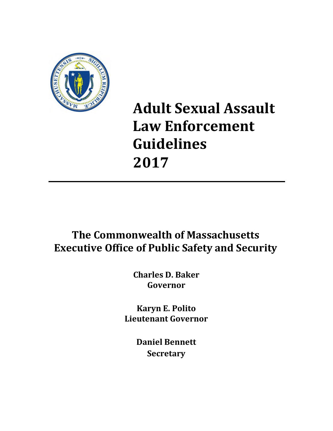

# **Adult Sexual Assault Law Enforcement Guidelines 2017**

# **The Commonwealth of Massachusetts Executive Office of Public Safety and Security**

**Charles D. Baker Governor**

**Karyn E. Polito Lieutenant Governor**

> **Daniel Bennett Secretary**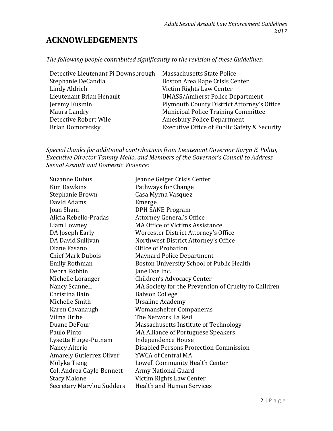# **ACKNOWLEDGEMENTS**

*The following people contributed significantly to the revision of these Guidelines:*

| Detective Lieutenant Pi Downsbrough | Massachusetts State Police                   |
|-------------------------------------|----------------------------------------------|
| Stephanie DeCandia                  | Boston Area Rape Crisis Center               |
| Lindy Aldrich                       | Victim Rights Law Center                     |
| Lieutenant Brian Henault            | <b>UMASS/Amherst Police Department</b>       |
| Jeremy Kusmin                       | Plymouth County District Attorney's Office   |
| Maura Landry                        | Municipal Police Training Committee          |
| Detective Robert Wile               | <b>Amesbury Police Department</b>            |
| <b>Brian Domoretsky</b>             | Executive Office of Public Safety & Security |

*Special thanks for additional contributions from Lieutenant Governor Karyn E. Polito, Executive Director Tammy Mello, and Members of the Governor's Council to Address Sexual Assault and Domestic Violence:*

| Suzanne Dubus                    | Jeanne Geiger Crisis Center                          |
|----------------------------------|------------------------------------------------------|
| <b>Kim Dawkins</b>               | Pathways for Change                                  |
| Stephanie Brown                  | Casa Myrna Vasquez                                   |
| David Adams                      | Emerge                                               |
| Joan Sham                        | <b>DPH SANE Program</b>                              |
| Alicia Rebello-Pradas            | <b>Attorney General's Office</b>                     |
| Liam Lowney                      | <b>MA Office of Victims Assistance</b>               |
| DA Joseph Early                  | Worcester District Attorney's Office                 |
| DA David Sullivan                | Northwest District Attorney's Office                 |
| Diane Fasano                     | Office of Probation                                  |
| <b>Chief Mark Dubois</b>         | <b>Maynard Police Department</b>                     |
| Emily Rothman                    | Boston University School of Public Health            |
| Debra Robbin                     | Jane Doe Inc.                                        |
| Michelle Loranger                | Children's Advocacy Center                           |
| Nancy Scannell                   | MA Society for the Prevention of Cruelty to Children |
| Christina Bain                   | <b>Babson College</b>                                |
| Michelle Smith                   | <b>Ursaline Academy</b>                              |
| Karen Cavanaugh                  | Womanshelter Companeras                              |
| Vilma Uribe                      | The Network La Red                                   |
| Duane DeFour                     | Massachusetts Institute of Technology                |
| Paulo Pinto                      | <b>MA Alliance of Portuguese Speakers</b>            |
| Lysetta Hurge-Putnam             | <b>Independence House</b>                            |
| Nancy Alterio                    | Disabled Persons Protection Commission               |
| <b>Amarely Gutierrez Oliver</b>  | YWCA of Central MA                                   |
| Molyka Tieng                     | Lowell Community Health Center                       |
| Col. Andrea Gayle-Bennett        | <b>Army National Guard</b>                           |
| <b>Stacy Malone</b>              | Victim Rights Law Center                             |
| <b>Secretary Marylou Sudders</b> | <b>Health and Human Services</b>                     |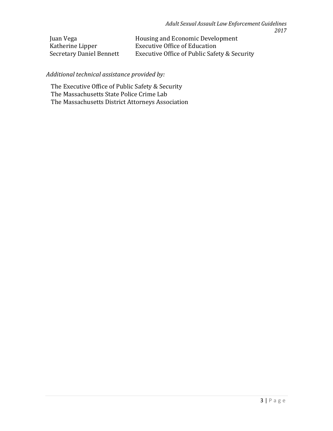| Juan Vega                | Housing and Economic Development             |
|--------------------------|----------------------------------------------|
| Katherine Lipper         | <b>Executive Office of Education</b>         |
| Secretary Daniel Bennett | Executive Office of Public Safety & Security |

# *Additional technical assistance provided by:*

The Executive Office of Public Safety & Security The Massachusetts State Police Crime Lab The Massachusetts District Attorneys Association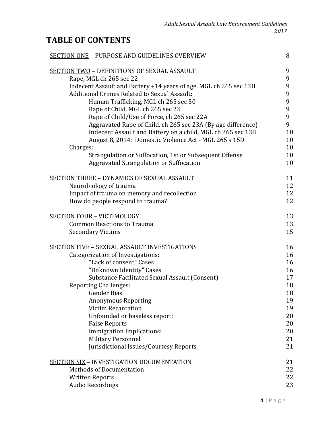# **TABLE OF CONTENTS**

| SECTION ONE - PURPOSE AND GUIDELINES OVERVIEW                     | 8  |
|-------------------------------------------------------------------|----|
| <b>SECTION TWO - DEFINITIONS OF SEXUAL ASSAULT</b>                | 9  |
| Rape, MGL ch 265 sec 22                                           | 9  |
| Indecent Assault and Battery +14 years of age, MGL ch 265 sec 13H | 9  |
| Additional Crimes Related to Sexual Assault:                      | 9  |
| Human Trafficking, MGL ch 265 sec 50                              | 9  |
| Rape of Child, MGL ch 265 sec 23                                  | 9  |
| Rape of Child/Use of Force, ch 265 sec 22A                        | 9  |
| Aggravated Rape of Child, ch 265 sec 23A (By age difference)      | 9  |
| Indecent Assault and Battery on a child, MGL ch 265 sec 13B       | 10 |
| August 8, 2014: Domestic Violence Act - MGL 265 s 15D             | 10 |
| Charges:                                                          | 10 |
| Strangulation or Suffocation, 1st or Subsequent Offense           | 10 |
| Aggravated Strangulation or Suffocation                           | 10 |
| <b>SECTION THREE - DYNAMICS OF SEXUAL ASSAULT</b>                 | 11 |
| Neurobiology of trauma                                            | 12 |
| Impact of trauma on memory and recollection                       | 12 |
| How do people respond to trauma?                                  | 12 |
| <b>SECTION FOUR - VICTIMOLOGY</b>                                 | 13 |
| <b>Common Reactions to Trauma</b>                                 | 13 |
| <b>Secondary Victims</b>                                          | 15 |
| <b>SECTION FIVE - SEXUAL ASSAULT INVESTIGATIONS</b>               | 16 |
| Categorization of Investigations:                                 | 16 |
| "Lack of consent" Cases                                           | 16 |
| "Unknown Identity" Cases                                          | 16 |
| Substance Facilitated Sexual Assault (Consent)                    | 17 |
| <b>Reporting Challenges:</b>                                      | 18 |
| <b>Gender Bias</b>                                                | 18 |
| <b>Anonymous Reporting</b>                                        | 19 |
| <b>Victim Recantation</b>                                         | 19 |
| Unfounded or baseless report:                                     | 20 |
| <b>False Reports</b>                                              | 20 |
| Immigration Implications:                                         | 20 |
| <b>Military Personnel</b>                                         | 21 |
| Jurisdictional Issues/Courtesy Reports                            | 21 |
| <b>SECTION SIX - INVESTIGATION DOCUMENTATION</b>                  | 21 |
| <b>Methods of Documentation</b>                                   | 22 |
| <b>Written Reports</b>                                            | 22 |
| <b>Audio Recordings</b>                                           | 23 |
|                                                                   |    |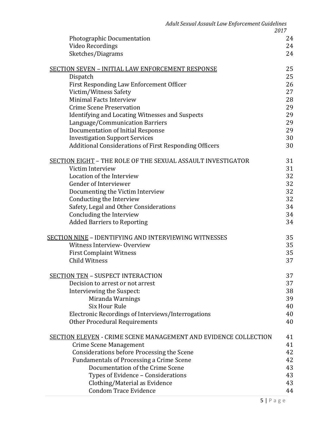|                                                                        | 2017 |
|------------------------------------------------------------------------|------|
| <b>Photographic Documentation</b>                                      | 24   |
| Video Recordings                                                       | 24   |
| Sketches/Diagrams                                                      | 24   |
|                                                                        |      |
| <b>SECTION SEVEN - INITIAL LAW ENFORCEMENT RESPONSE</b>                | 25   |
| Dispatch                                                               | 25   |
| First Responding Law Enforcement Officer                               | 26   |
| Victim/Witness Safety                                                  | 27   |
| Minimal Facts Interview                                                | 28   |
| <b>Crime Scene Preservation</b>                                        | 29   |
| Identifying and Locating Witnesses and Suspects                        | 29   |
| Language/Communication Barriers                                        | 29   |
| Documentation of Initial Response                                      | 29   |
| <b>Investigation Support Services</b>                                  | 30   |
| Additional Considerations of First Responding Officers                 | 30   |
| SECTION EIGHT - THE ROLE OF THE SEXUAL ASSAULT INVESTIGATOR            | 31   |
| Victim Interview                                                       | 31   |
| Location of the Interview                                              | 32   |
| Gender of Interviewer                                                  | 32   |
| Documenting the Victim Interview                                       | 32   |
| Conducting the Interview                                               | 32   |
| Safety, Legal and Other Considerations                                 | 34   |
| Concluding the Interview                                               | 34   |
| <b>Added Barriers to Reporting</b>                                     | 34   |
|                                                                        |      |
| <b>SECTION NINE - IDENTIFYING AND INTERVIEWING WITNESSES</b>           | 35   |
| Witness Interview-Overview                                             | 35   |
| <b>First Complaint Witness</b>                                         | 35   |
| <b>Child Witness</b>                                                   | 37   |
| <b>SECTION TEN - SUSPECT INTERACTION</b>                               | 37   |
| Decision to arrest or not arrest                                       | 37   |
| Interviewing the Suspect:                                              | 38   |
| Miranda Warnings                                                       | 39   |
| <b>Six Hour Rule</b>                                                   | 40   |
| Electronic Recordings of Interviews/Interrogations                     | 40   |
| <b>Other Procedural Requirements</b>                                   | 40   |
|                                                                        |      |
| <b>SECTION ELEVEN - CRIME SCENE MANAGEMENT AND EVIDENCE COLLECTION</b> | 41   |
| <b>Crime Scene Management</b>                                          | 41   |
| Considerations before Processing the Scene                             | 42   |
| <b>Fundamentals of Processing a Crime Scene</b>                        | 42   |
| Documentation of the Crime Scene                                       | 43   |
| Types of Evidence - Considerations                                     | 43   |
| Clothing/Material as Evidence                                          | 43   |
| <b>Condom Trace Evidence</b>                                           | 44   |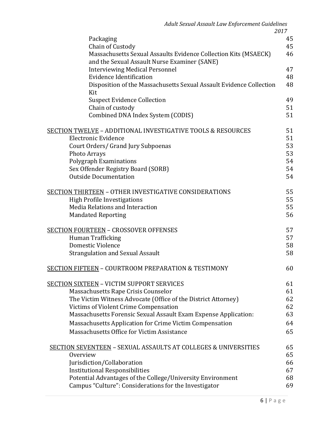| Adult Sexual Assault Law Enforcement Guidelines                                                                 | 2017 |
|-----------------------------------------------------------------------------------------------------------------|------|
| Packaging                                                                                                       | 45   |
| Chain of Custody                                                                                                | 45   |
| Massachusetts Sexual Assaults Evidence Collection Kits (MSAECK)<br>and the Sexual Assault Nurse Examiner (SANE) | 46   |
| <b>Interviewing Medical Personnel</b>                                                                           | 47   |
| <b>Evidence Identification</b>                                                                                  | 48   |
| Disposition of the Massachusetts Sexual Assault Evidence Collection<br>Kit                                      | 48   |
| <b>Suspect Evidence Collection</b>                                                                              | 49   |
| Chain of custody                                                                                                | 51   |
| Combined DNA Index System (CODIS)                                                                               | 51   |
| SECTION TWELVE – ADDITIONAL INVESTIGATIVE TOOLS & RESOURCES                                                     | 51   |
| Electronic Evidence                                                                                             | 51   |
| Court Orders/ Grand Jury Subpoenas                                                                              | 53   |
| <b>Photo Arrays</b>                                                                                             | 53   |
| Polygraph Examinations                                                                                          | 54   |
| Sex Offender Registry Board (SORB)                                                                              | 54   |
| <b>Outside Documentation</b>                                                                                    | 54   |
| <u> SECTION THIRTEEN</u> – OTHER INVESTIGATIVE CONSIDERATIONS                                                   | 55   |
| <b>High Profile Investigations</b>                                                                              | 55   |
| Media Relations and Interaction                                                                                 | 55   |
| <b>Mandated Reporting</b>                                                                                       | 56   |
| <u> SECTION FOURTEEN</u> – CROSSOVER OFFENSES                                                                   | 57   |
| Human Trafficking                                                                                               | 57   |
| Domestic Violence                                                                                               | 58   |
| <b>Strangulation and Sexual Assault</b>                                                                         | 58   |
| <u> SECTION FIFTEEN</u> – COURTROOM PREPARATION & TESTIMONY                                                     | 60   |
| <b>SECTION SIXTEEN - VICTIM SUPPORT SERVICES</b>                                                                | 61   |
| Massachusetts Rape Crisis Counselor                                                                             | 61   |
| The Victim Witness Advocate (Office of the District Attorney)                                                   | 62   |
| Victims of Violent Crime Compensation                                                                           | 62   |
| Massachusetts Forensic Sexual Assault Exam Expense Application:                                                 | 63   |
| Massachusetts Application for Crime Victim Compensation                                                         | 64   |
| Massachusetts Office for Victim Assistance                                                                      | 65   |
| <b>SECTION SEVENTEEN - SEXUAL ASSAULTS AT COLLEGES &amp; UNIVERSITIES</b>                                       | 65   |
| Overview                                                                                                        | 65   |

| SECTION SEVENTEEN – SEXUAL ASSAULTS AT COLLEGES & UNIVERSITIES | 65 |
|----------------------------------------------------------------|----|
| Overview                                                       | 65 |
| Jurisdiction/Collaboration                                     | 66 |
| <b>Institutional Responsibilities</b>                          | 67 |
| Potential Advantages of the College/University Environment     | 68 |
| Campus "Culture": Considerations for the Investigator          | 69 |
|                                                                |    |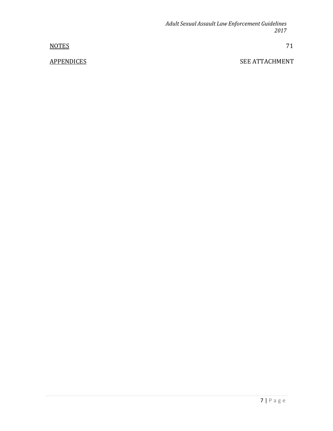NOTES 71

APPENDICES SEE ATTACHMENT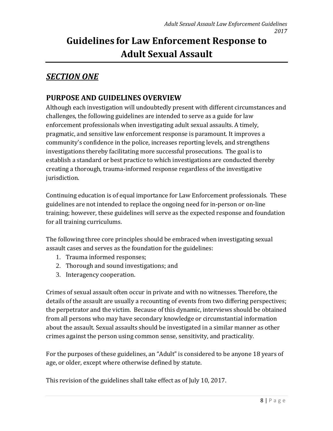# **Guidelines for Law Enforcement Response to Adult Sexual Assault**

# *SECTION ONE*

# **PURPOSE AND GUIDELINES OVERVIEW**

Although each investigation will undoubtedly present with different circumstances and challenges, the following guidelines are intended to serve as a guide for law enforcement professionals when investigating adult sexual assaults. A timely, pragmatic, and sensitive law enforcement response is paramount. It improves a community's confidence in the police, increases reporting levels, and strengthens investigations thereby facilitating more successful prosecutions. The goal is to establish a standard or best practice to which investigations are conducted thereby creating a thorough, trauma-informed response regardless of the investigative jurisdiction.

Continuing education is of equal importance for Law Enforcement professionals. These guidelines are not intended to replace the ongoing need for in-person or on-line training; however, these guidelines will serve as the expected response and foundation for all training curriculums.

The following three core principles should be embraced when investigating sexual assault cases and serves as the foundation for the guidelines:

- 1. Trauma informed responses;
- 2. Thorough and sound investigations; and
- 3. Interagency cooperation.

Crimes of sexual assault often occur in private and with no witnesses. Therefore, the details of the assault are usually a recounting of events from two differing perspectives; the perpetrator and the victim. Because of this dynamic, interviews should be obtained from all persons who may have secondary knowledge or circumstantial information about the assault. Sexual assaults should be investigated in a similar manner as other crimes against the person using common sense, sensitivity, and practicality.

For the purposes of these guidelines, an "Adult" is considered to be anyone 18 years of age, or older, except where otherwise defined by statute.

This revision of the guidelines shall take effect as of July 10, 2017.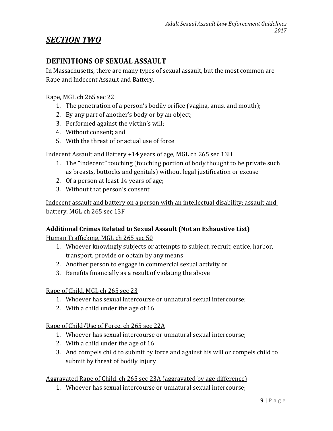# *SECTION TWO*

# **DEFINITIONS OF SEXUAL ASSAULT**

In Massachusetts, there are many types of sexual assault, but the most common are Rape and Indecent Assault and Battery.

#### Rape, MGL ch 265 sec 22

- 1. The penetration of a person's bodily orifice (vagina, anus, and mouth);
- 2. By any part of another's body or by an object;
- 3. Performed against the victim's will;
- 4. Without consent; and
- 5. With the threat of or actual use of force

#### Indecent Assault and Battery +14 years of age, MGL ch 265 sec 13H

- 1. The "indecent" touching (touching portion of body thought to be private such as breasts, buttocks and genitals) without legal justification or excuse
- 2. Of a person at least 14 years of age;
- 3. Without that person's consent

Indecent assault and battery on a person with an intellectual disability; assault and battery, MGL ch 265 sec 13F

#### **Additional Crimes Related to Sexual Assault (Not an Exhaustive List)**

Human Trafficking, MGL ch 265 sec 50

- 1. Whoever knowingly subjects or attempts to subject, recruit, entice, harbor, transport, provide or obtain by any means
- 2. Another person to engage in commercial sexual activity or
- 3. Benefits financially as a result of violating the above

#### Rape of Child, MGL ch 265 sec 23

- 1. Whoever has sexual intercourse or unnatural sexual intercourse;
- 2. With a child under the age of 16

Rape of Child/Use of Force, ch 265 sec 22A

- 1. Whoever has sexual intercourse or unnatural sexual intercourse;
- 2. With a child under the age of 16
- 3. And compels child to submit by force and against his will or compels child to submit by threat of bodily injury

#### Aggravated Rape of Child, ch 265 sec 23A (aggravated by age difference)

1. Whoever has sexual intercourse or unnatural sexual intercourse;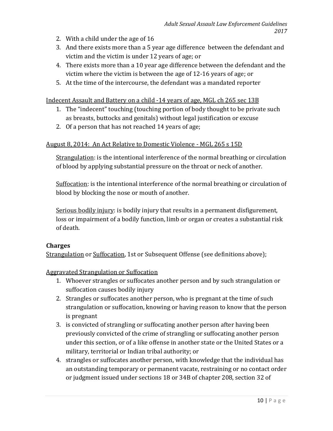- 2. With a child under the age of 16
- 3. And there exists more than a 5 year age difference between the defendant and victim and the victim is under 12 years of age; or
- 4. There exists more than a 10 year age difference between the defendant and the victim where the victim is between the age of 12-16 years of age; or
- 5. At the time of the intercourse, the defendant was a mandated reporter

Indecent Assault and Battery on a child -14 years of age, MGL ch 265 sec 13B

- 1. The "indecent" touching (touching portion of body thought to be private such as breasts, buttocks and genitals) without legal justification or excuse
- 2. Of a person that has not reached 14 years of age;

#### August 8, 2014: An Act Relative to Domestic Violence - MGL 265 s 15D

Strangulation: is the intentional interference of the normal breathing or circulation of blood by applying substantial pressure on the throat or neck of another.

Suffocation: is the intentional interference of the normal breathing or circulation of blood by blocking the nose or mouth of another.

Serious bodily injury: is bodily injury that results in a permanent disfigurement, loss or impairment of a bodily function, limb or organ or creates a substantial risk of death.

#### **Charges**

Strangulation or Suffocation, 1st or Subsequent Offense (see definitions above);

Aggravated Strangulation or Suffocation

- 1. Whoever strangles or suffocates another person and by such strangulation or suffocation causes bodily injury
- 2. Strangles or suffocates another person, who is pregnant at the time of such strangulation or suffocation, knowing or having reason to know that the person is pregnant
- 3. is convicted of strangling or suffocating another person after having been previously convicted of the crime of strangling or suffocating another person under this section, or of a like offense in another state or the United States or a military, territorial or Indian tribal authority; or
- 4. strangles or suffocates another person, with knowledge that the individual has an outstanding temporary or permanent vacate, restraining or no contact order or judgment issued under sections 18 or 34B of chapter 208, section 32 of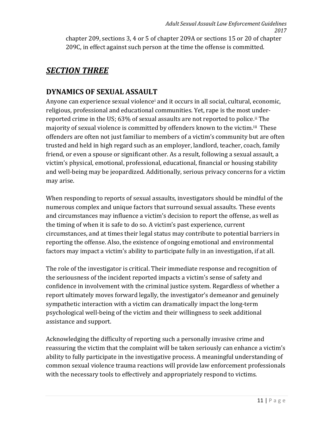chapter 209, sections 3, 4 or 5 of chapter 209A or sections 15 or 20 of chapter 209C, in effect against such person at the time the offense is committed.

# *SECTION THREE*

# **DYNAMICS OF SEXUAL ASSAUL[T](#page-71-0)**

Anyone can experience sexual violencei and it occurs in all social, cultural, economic, religious, professional and educational communities. Yet, rape is the most underreported crime in the US; 63% of sexual assaults are not reported to police[.i](#page-71-2)[i](#page-71-1) The majority of sexual violence is committed by offenders known to the victim.iii These offenders are often not just familiar to members of a victim's community but are often trusted and held in high regard such as an employer, landlord, teacher, coach, family friend, or even a spouse or significant other. As a result, following a sexual assault, a victim's physical, emotional, professional, educational, financial or housing stability and well-being may be jeopardized. Additionally, serious privacy concerns for a victim may arise.

When responding to reports of sexual assaults, investigators should be mindful of the numerous complex and unique factors that surround sexual assaults. These events and circumstances may influence a victim's decision to report the offense, as well as the timing of when it is safe to do so. A victim's past experience, current circumstances, and at times their legal status may contribute to potential barriers in reporting the offense. Also, the existence of ongoing emotional and environmental factors may impact a victim's ability to participate fully in an investigation, if at all.

The role of the investigator is critical. Their immediate response and recognition of the seriousness of the incident reported impacts a victim's sense of safety and confidence in involvement with the criminal justice system. Regardless of whether a report ultimately moves forward legally, the investigator's demeanor and genuinely sympathetic interaction with a victim can dramatically impact the long-term psychological well-being of the victim and their willingness to seek additional assistance and support.

Acknowledging the difficulty of reporting such a personally invasive crime and reassuring the victim that the complaint will be taken seriously can enhance a victim's ability to fully participate in the investigative process. A meaningful understanding of common sexual violence trauma reactions will provide law enforcement professionals with the necessary tools to effectively and appropriately respond to victims.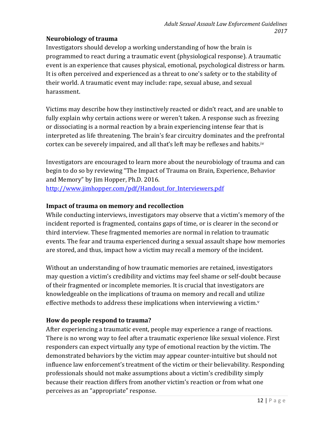# **Neurobiology of trauma**

Investigators should develop a working understanding of how the brain is programmed to react during a traumatic event (physiological response). A traumatic event is an experience that causes physical, emotional, psychological distress or harm. It is often perceived and experienced as a threat to one's safety or to the stability of their world. A traumatic event may include: rape, sexual abuse, and sexual harassment.

Victims may describe how they instinctively reacted or didn't react, and are unable to fully explain why certain actions were or weren't taken. A response such as freezing or dissociating is a normal reaction by a brain experiencing intense fear that is interpreted as life threatening. The brain's fear circuitry dominates and the prefrontal cortex can be severely impaired, and all that's left may be reflexes and habits.[iv](#page-71-3) 

Investigators are encouraged to learn more about the neurobiology of trauma and can begin to do so by reviewing "The Impact of Trauma on Brain, Experience, Behavior and Memory" by Jim Hopper, Ph.D. 2016. http://www.jimhopper.com/pdf/Handout for Interviewers.pdf

# **Impact of trauma on memory and recollection**

While conducting interviews, investigators may observe that a victim's memory of the incident reported is fragmented, contains gaps of time, or is clearer in the second or third interview. These fragmented memories are normal in relation to traumatic events. The fear and trauma experienced during a sexual assault shape how memories are stored, and thus, impact how a victim may recall a memory of the incident.

Without an understanding of how traumatic memories are retained, investigators may question a victim's credibility and victims may feel shame or self-doubt because of their fragmented or incomplete memories. It is crucial that investigators are knowledgeable on the implications of trauma on memory and recall and utilize effecti[v](#page-71-4)e methods to address these implications when interviewing a victim. $v$ 

# **How do people respond to trauma?**

After experiencing a traumatic event, people may experience a range of reactions. There is no wrong way to feel after a traumatic experience like sexual violence. First responders can expect virtually any type of emotional reaction by the victim. The demonstrated behaviors by the victim may appear counter-intuitive but should not influence law enforcement's treatment of the victim or their believability. Responding professionals should not make assumptions about a victim's credibility simply because their reaction differs from another victim's reaction or from what one perceives as an "appropriate" response.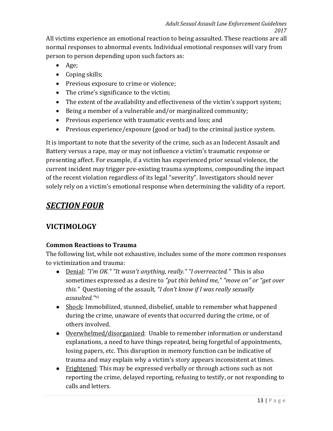All victims experience an emotional reaction to being assaulted. These reactions are all normal responses to abnormal events. Individual emotional responses will vary from person to person depending upon such factors as:

- Age;
- Coping skills;
- Previous exposure to crime or violence;
- The crime's significance to the victim;
- The extent of the availability and effectiveness of the victim's support system;
- Being a member of a vulnerable and/or marginalized community;
- Previous experience with traumatic events and loss; and
- Previous experience/exposure (good or bad) to the criminal justice system.

It is important to note that the severity of the crime, such as an Indecent Assault and Battery versus a rape, may or may not influence a victim's traumatic response or presenting affect. For example, if a victim has experienced prior sexual violence, the current incident may trigger pre-existing trauma symptoms, compounding the impact of the recent violation regardless of its legal "severity". Investigators should never solely rely on a victim's emotional response when determining the validity of a report.

# *SECTION FOUR*

# **VICTIMOLOGY**

# **Common Reactions to Trauma**

The following list, while not exhaustive, includes some of the more common responses to victimization and trauma:

- Denial: *"I'm OK." "It wasn't anything, really." "I overreacted."* This is also sometimes expressed as a desire to *"put this behind me," "move on" or "get over this."* Que[sti](#page-71-5)oning of the assault, *"I don't know if I was really sexually assaulted."*vi
- Shock: Immobilized, stunned, disbelief, unable to remember what happened during the crime, unaware of events that occurred during the crime, or of others involved.
- Overwhelmed/disorganized: Unable to remember information or understand explanations, a need to have things repeated, being forgetful of appointments, losing papers, etc. This disruption in memory function can be indicative of trauma and may explain why a victim's story appears inconsistent at times.
- Frightened: This may be expressed verbally or through actions such as not reporting the crime, delayed reporting, refusing to testify, or not responding to calls and letters.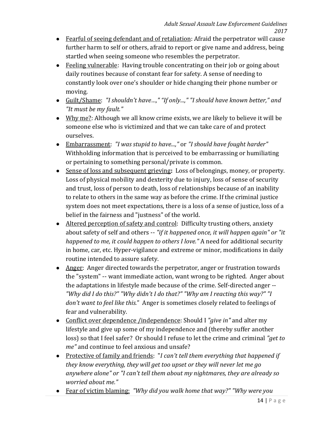- Fearful of seeing defendant and of retaliation: Afraid the perpetrator will cause further harm to self or others, afraid to report or give name and address, being startled when seeing someone who resembles the perpetrator.
- Feeling vulnerable: Having trouble concentrating on their job or going about daily routines because of constant fear for safety. A sense of needing to constantly look over one's shoulder or hide changing their phone number or moving.
- Guilt/Shame: *"I shouldn't have…," "If only...," "I should have known better," and "It must be my fault."*
- Why me?: Although we all know crime exists, we are likely to believe it will be someone else who is victimized and that we can take care of and protect ourselves.
- Embarrassment: *"I was stupid to have...,"* or *"I should have fought harder"*  Withholding information that is perceived to be embarrassing or humiliating or pertaining to something personal/private is common.
- Sense of loss and subsequent grieving**:** Loss of belongings, money, or property. Loss of physical mobility and dexterity due to injury, loss of sense of security and trust, loss of person to death, loss of relationships because of an inability to relate to others in the same way as before the crime. If the criminal justice system does not meet expectations, there is a loss of a sense of justice, loss of a belief in the fairness and "justness" of the world.
- Altered perception of safety and control: Difficulty trusting others, anxiety about safety of self and others -- *"if it happened once, it will happen again" or "it happened to me, it could happen to others I love."* A need for additional security in home, car, etc. Hyper-vigilance and extreme or minor, modifications in daily routine intended to assure safety.
- Anger: Anger directed towards the perpetrator, anger or frustration towards the "system" -- want immediate action, want wrong to be righted. Anger about the adaptations in lifestyle made because of the crime. Self-directed anger -- *"Why did I do this?" "Why didn't I do that?" "Why am I reacting this way?" "I don't want to feel like this.*" Anger is sometimes closely related to feelings of fear and vulnerability.
- Conflict over dependence /independence: Should I *"give in"* and alter my lifestyle and give up some of my independence and (thereby suffer another loss) so that I feel safer? Or should I refuse to let the crime and criminal *"get to me"* and continue to feel anxious and unsafe?
- Protective of family and friends: "*I can't tell them everything that happened if they know everything, they will get too upset or they will never let me go anywhere alone" or "I can't tell them about my nightmares, they are already so worried about me."*
- Fear of victim blaming: *"Why did you walk home that way?" "Why were you*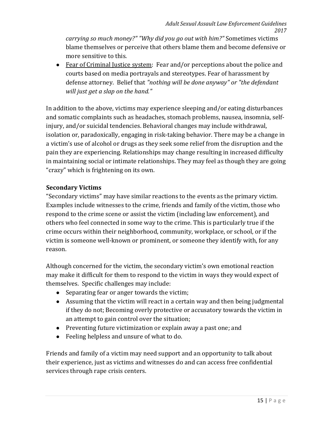*carrying so much money?" "Why did you go out with him?"* Sometimes victims blame themselves or perceive that others blame them and become defensive or more sensitive to this.

• Fear of Criminal Justice system: Fear and/or perceptions about the police and courts based on media portrayals and stereotypes. Fear of harassment by defense attorney. Belief that *"nothing will be done anyway" or "the defendant will just get a slap on the hand."*

In addition to the above, victims may experience sleeping and/or eating disturbances and somatic complaints such as headaches, stomach problems, nausea, insomnia, selfinjury, and/or suicidal tendencies. Behavioral changes may include withdrawal, isolation or, paradoxically, engaging in risk-taking behavior. There may be a change in a victim's use of alcohol or drugs as they seek some relief from the disruption and the pain they are experiencing. Relationships may change resulting in increased difficulty in maintaining social or intimate relationships. They may feel as though they are going "crazy" which is frightening on its own.

# **Secondary Victims**

"Secondary victims" may have similar reactions to the events as the primary victim. Examples include witnesses to the crime, friends and family of the victim, those who respond to the crime scene or assist the victim (including law enforcement), and others who feel connected in some way to the crime. This is particularly true if the crime occurs within their neighborhood, community, workplace, or school, or if the victim is someone well-known or prominent, or someone they identify with, for any reason.

Although concerned for the victim, the secondary victim's own emotional reaction may make it difficult for them to respond to the victim in ways they would expect of themselves. Specific challenges may include:

- Separating fear or anger towards the victim;
- Assuming that the victim will react in a certain way and then being judgmental if they do not; Becoming overly protective or accusatory towards the victim in an attempt to gain control over the situation;
- Preventing future victimization or explain away a past one; and
- Feeling helpless and unsure of what to do.

Friends and family of a victim may need support and an opportunity to talk about their experience, just as victims and witnesses do and can access free confidential services through rape crisis centers.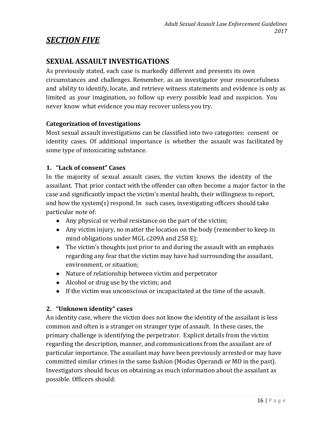# *SECTION FIVE*

# **SEXUAL ASSAULT INVESTIGATIONS**

As previously stated, each case is markedly different and presents its own circumstances and challenges. Remember, as an investigator your resourcefulness and ability to identify, locate, and retrieve witness statements and evidence is only as limited as your imagination, so follow up every possible lead and suspicion. You never know what evidence you may recover unless you try.

#### **Categorization of Investigations**

Most sexual assault investigations can be classified into two categories: consent or identity cases. Of additional importance is whether the assault was facilitated by some type of intoxicating substance.

### **1. "Lack of consent" Cases**

In the majority of sexual assault cases, the victim knows the identity of the assailant. That prior contact with the offender can often become a major factor in the case and significantly impact the victim's mental health, their willingness to report, and how the system(s) respond. In such cases, investigating officers should take particular note of:

- Any physical or verbal resistance on the part of the victim;
- Any victim injury, no matter the location on the body (remember to keep in mind obligations under MGL c209A and 258 E);
- The victim's thoughts just prior to and during the assault with an emphasis regarding any fear that the victim may have had surrounding the assailant, environment, or situation;
- Nature of relationship between victim and perpetrator
- Alcohol or drug use by the victim; and
- If the victim was unconscious or incapacitated at the time of the assault.

# **2. "Unknown identity" cases**

An identity case, where the victim does not know the identity of the assailant is less common and often is a stranger on stranger type of assault. In these cases, the primary challenge is identifying the perpetrator. Explicit details from the victim regarding the description, manner, and communications from the assailant are of particular importance. The assailant may have been previously arrested or may have committed similar crimes in the same fashion (Modus Operandi or MO in the past). Investigators should focus on obtaining as much information about the assailant as possible. Officers should: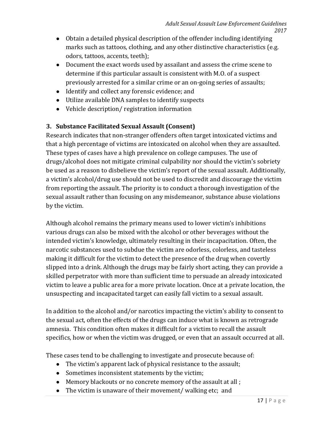- Obtain a detailed physical description of the offender including identifying marks such as tattoos, clothing, and any other distinctive characteristics (e.g. odors, tattoos, accents, teeth);
- Document the exact words used by assailant and assess the crime scene to determine if this particular assault is consistent with M.O. of a suspect previously arrested for a similar crime or an on-going series of assaults;
- Identify and collect any forensic evidence; and
- Utilize available DNA samples to identify suspects
- Vehicle description/ registration information

# **3. Substance Facilitated Sexual Assault (Consent)**

Research indicates that non-stranger offenders often target intoxicated victims and that a high percentage of victims are intoxicated on alcohol when they are assaulted. These types of cases have a high prevalence on college campuses. The use of drugs/alcohol does not mitigate criminal culpability nor should the victim's sobriety be used as a reason to disbelieve the victim's report of the sexual assault. Additionally, a victim's alcohol/drug use should not be used to discredit and discourage the victim from reporting the assault. The priority is to conduct a thorough investigation of the sexual assault rather than focusing on any misdemeanor, substance abuse violations by the victim.

Although alcohol remains the primary means used to lower victim's inhibitions various drugs can also be mixed with the alcohol or other beverages without the intended victim's knowledge, ultimately resulting in their incapacitation. Often, the narcotic substances used to subdue the victim are odorless, colorless, and tasteless making it difficult for the victim to detect the presence of the drug when covertly slipped into a drink. Although the drugs may be fairly short acting, they can provide a skilled perpetrator with more than sufficient time to persuade an already intoxicated victim to leave a public area for a more private location. Once at a private location, the unsuspecting and incapacitated target can easily fall victim to a sexual assault.

In addition to the alcohol and/or narcotics impacting the victim's ability to consent to the sexual act, often the effects of the drugs can induce what is known as retrograde amnesia. This condition often makes it difficult for a victim to recall the assault specifics, how or when the victim was drugged, or even that an assault occurred at all.

These cases tend to be challenging to investigate and prosecute because of:

- The victim's apparent lack of physical resistance to the assault;
- Sometimes inconsistent statements by the victim;
- Memory blackouts or no concrete memory of the assault at all ;
- The victim is unaware of their movement/ walking etc; and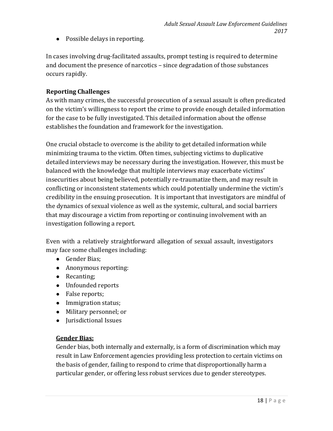● Possible delays in reporting.

In cases involving drug-facilitated assaults, prompt testing is required to determine and document the presence of narcotics – since degradation of those substances occurs rapidly.

# **Reporting Challenges**

As with many crimes, the successful prosecution of a sexual assault is often predicated on the victim's willingness to report the crime to provide enough detailed information for the case to be fully investigated. This detailed information about the offense establishes the foundation and framework for the investigation.

One crucial obstacle to overcome is the ability to get detailed information while minimizing trauma to the victim. Often times, subjecting victims to duplicative detailed interviews may be necessary during the investigation. However, this must be balanced with the knowledge that multiple interviews may exacerbate victims' insecurities about being believed, potentially re-traumatize them, and may result in conflicting or inconsistent statements which could potentially undermine the victim's credibility in the ensuing prosecution. It is important that investigators are mindful of the dynamics of sexual violence as well as the systemic, cultural, and social barriers that may discourage a victim from reporting or continuing involvement with an investigation following a report.

Even with a relatively straightforward allegation of sexual assault, investigators may face some challenges including:

- Gender Bias;
- Anonymous reporting:
- Recanting;
- Unfounded reports
- False reports;
- Immigration status;
- Military personnel; or
- Jurisdictional Issues

#### **Gender Bias:**

Gender bias, both internally and externally, is a form of discrimination which may result in Law Enforcement agencies providing less protection to certain victims on the basis of gender, failing to respond to crime that disproportionally harm a particular gender, or offering less robust services due to gender stereotypes.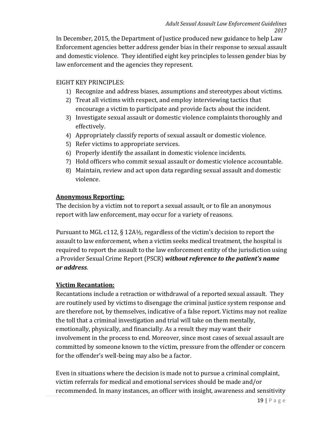In December, 2015, the Department of Justice produced new guidance to help Law Enforcement agencies better address gender bias in their response to sexual assault and domestic violence. They identified eight key principles to lessen gender bias by law enforcement and the agencies they represent.

### EIGHT KEY PRINCIPLES:

- 1) Recognize and address biases, assumptions and stereotypes about victims.
- 2) Treat all victims with respect, and employ interviewing tactics that encourage a victim to participate and provide facts about the incident.
- 3) Investigate sexual assault or domestic violence complaints thoroughly and effectively.
- 4) Appropriately classify reports of sexual assault or domestic violence.
- 5) Refer victims to appropriate services.
- 6) Properly identify the assailant in domestic violence incidents.
- 7) Hold officers who commit sexual assault or domestic violence accountable.
- 8) Maintain, review and act upon data regarding sexual assault and domestic violence.

#### **Anonymous Reporting:**

The decision by a victim not to report a sexual assault, or to file an anonymous report with law enforcement, may occur for a variety of reasons.

Pursuant to MGL c112, § 12A½, regardless of the victim's decision to report the assault to law enforcement, when a victim seeks medical treatment, the hospital is required to report the assault to the law enforcement entity of the jurisdiction using a Provider Sexual Crime Report (PSCR) *without reference to the patient's name or address*.

#### **Victim Recantation:**

Recantations include a retraction or withdrawal of a reported sexual assault. They are routinely used by victims to disengage the criminal justice system response and are therefore not, by themselves, indicative of a false report. Victims may not realize the toll that a criminal investigation and trial will take on them mentally, emotionally, physically, and financially. As a result they may want their involvement in the process to end. Moreover, since most cases of sexual assault are committed by someone known to the victim, pressure from the offender or concern for the offender's well-being may also be a factor.

Even in situations where the decision is made not to pursue a criminal complaint, victim referrals for medical and emotional services should be made and/or recommended. In many instances, an officer with insight, awareness and sensitivity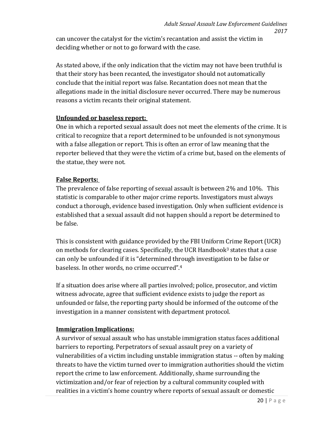can uncover the catalyst for the victim's recantation and assist the victim in deciding whether or not to go forward with the case.

As stated above, if the only indication that the victim may not have been truthful is that their story has been recanted, the investigator should not automatically conclude that the initial report was false. Recantation does not mean that the allegations made in the initial disclosure never occurred. There may be numerous reasons a victim recants their original statement.

# **Unfounded or baseless report:**

One in which a reported sexual assault does not meet the elements of the crime. It is critical to recognize that a report determined to be unfounded is not synonymous with a false allegation or report. This is often an error of law meaning that the reporter believed that they were the victim of a crime but, based on the elements of the statue, they were not.

### **False Reports:**

The prevalence of false reporting of sexual assault is between 2% and 10%. This statistic is comparable to other major crime reports. Investigators must always conduct a thorough, evidence based investigation. Only when sufficient evidence is established that a sexual assault did not happen should a report be determined to be false.

This is consistent with guidance provided by the FBI Uniform Crime Report (UCR) on methods for clearing cases. Specifically, the UCR Handbook<sup>3</sup> states that a case can only be unfounded if it is "determined through investigation to be false or baseless. In other words, no crime occurred".4

If a situation does arise where all parties involved; police, prosecutor, and victim witness advocate, agree that sufficient evidence exists to judge the report as unfounded or false, the reporting party should be informed of the outcome of the investigation in a manner consistent with department protocol.

# **Immigration Implications:**

A survivor of sexual assault who has unstable immigration status faces additional barriers to reporting. Perpetrators of sexual assault prey on a variety of vulnerabilities of a victim including unstable immigration status -- often by making threats to have the victim turned over to immigration authorities should the victim report the crime to law enforcement. Additionally, shame surrounding the victimization and/or fear of rejection by a cultural community coupled with realities in a victim's home country where reports of sexual assault or domestic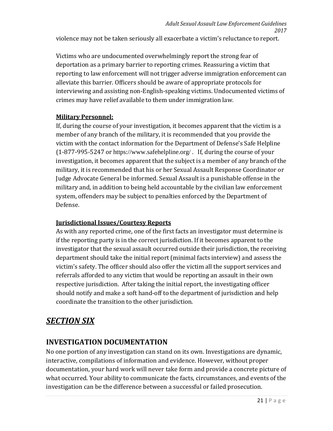violence may not be taken seriously all exacerbate a victim's reluctance to report.

Victims who are undocumented overwhelmingly report the strong fear of deportation as a primary barrier to reporting crimes. Reassuring a victim that reporting to law enforcement will not trigger adverse immigration enforcement can alleviate this barrier. Officers should be aware of appropriate protocols for interviewing and assisting non-English-speaking victims. Undocumented victims of crimes may have relief available to them under immigration law.

# **Military Personnel:**

If, during the course of your investigation, it becomes apparent that the victim is a member of any branch of the military, it is recommended that you provide the victim with the contact information for the Department of Defense's Safe Helpline (1-877-995-5247 or <https://www.safehelpline.org/> . If, during the course of your investigation, it becomes apparent that the subject is a member of any branch of the military, it is recommended that his or her Sexual Assault Response Coordinator or Judge Advocate General be informed. Sexual Assault is a punishable offense in the military and, in addition to being held accountable by the civilian law enforcement system, offenders may be subject to penalties enforced by the Department of Defense.

# **Jurisdictional Issues/Courtesy Reports**

As with any reported crime, one of the first facts an investigator must determine is if the reporting party is in the correct jurisdiction. If it becomes apparent to the investigator that the sexual assault occurred outside their jurisdiction, the receiving department should take the initial report (minimal facts interview) and assess the victim's safety. The officer should also offer the victim all the support services and referrals afforded to any victim that would be reporting an assault in their own respective jurisdiction. After taking the initial report, the investigating officer should notify and make a soft hand-off to the department of jurisdiction and help coordinate the transition to the other jurisdiction.

# *SECTION SIX*

# **INVESTIGATION DOCUMENTATION**

No one portion of any investigation can stand on its own. Investigations are dynamic, interactive, compilations of information and evidence. However, without proper documentation, your hard work will never take form and provide a concrete picture of what occurred. Your ability to communicate the facts, circumstances, and events of the investigation can be the difference between a successful or failed prosecution.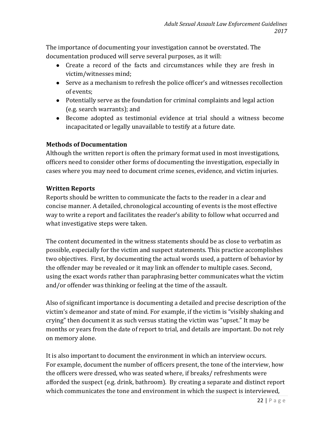The importance of documenting your investigation cannot be overstated. The documentation produced will serve several purposes, as it will:

- Create a record of the facts and circumstances while they are fresh in victim/witnesses mind;
- Serve as a mechanism to refresh the police officer's and witnesses recollection of events;
- Potentially serve as the foundation for criminal complaints and legal action (e.g. search warrants); and
- Become adopted as testimonial evidence at trial should a witness become incapacitated or legally unavailable to testify at a future date.

### **Methods of Documentation**

Although the written report is often the primary format used in most investigations, officers need to consider other forms of documenting the investigation, especially in cases where you may need to document crime scenes, evidence, and victim injuries.

### **Written Reports**

Reports should be written to communicate the facts to the reader in a clear and concise manner. A detailed, chronological accounting of events is the most effective way to write a report and facilitates the reader's ability to follow what occurred and what investigative steps were taken.

The content documented in the witness statements should be as close to verbatim as possible, especially for the victim and suspect statements. This practice accomplishes two objectives. First, by documenting the actual words used, a pattern of behavior by the offender may be revealed or it may link an offender to multiple cases. Second, using the exact words rather than paraphrasing better communicates what the victim and/or offender was thinking or feeling at the time of the assault.

Also of significant importance is documenting a detailed and precise description of the victim's demeanor and state of mind. For example, if the victim is "visibly shaking and crying" then document it as such versus stating the victim was "upset." It may be months or years from the date of report to trial, and details are important. Do not rely on memory alone.

It is also important to document the environment in which an interview occurs. For example, document the number of officers present, the tone of the interview, how the officers were dressed, who was seated where, if breaks/ refreshments were afforded the suspect (e.g. drink, bathroom). By creating a separate and distinct report which communicates the tone and environment in which the suspect is interviewed,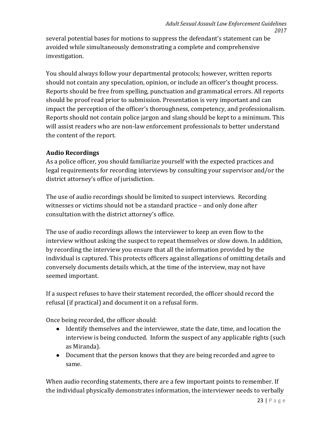several potential bases for motions to suppress the defendant's statement can be avoided while simultaneously demonstrating a complete and comprehensive investigation.

You should always follow your departmental protocols; however, written reports should not contain any speculation, opinion, or include an officer's thought process. Reports should be free from spelling, punctuation and grammatical errors. All reports should be proof read prior to submission. Presentation is very important and can impact the perception of the officer's thoroughness, competency, and professionalism. Reports should not contain police jargon and slang should be kept to a minimum. This will assist readers who are non-law enforcement professionals to better understand the content of the report.

### **Audio Recordings**

As a police officer, you should familiarize yourself with the expected practices and legal requirements for recording interviews by consulting your supervisor and/or the district attorney's office of jurisdiction.

The use of audio recordings should be limited to suspect interviews. Recording witnesses or victims should not be a standard practice – and only done after consultation with the district attorney's office.

The use of audio recordings allows the interviewer to keep an even flow to the interview without asking the suspect to repeat themselves or slow down. In addition, by recording the interview you ensure that all the information provided by the individual is captured. This protects officers against allegations of omitting details and conversely documents details which, at the time of the interview, may not have seemed important.

If a suspect refuses to have their statement recorded, the officer should record the refusal (if practical) and document it on a refusal form.

Once being recorded, the officer should:

- Identify themselves and the interviewee, state the date, time, and location the interview is being conducted. Inform the suspect of any applicable rights (such as Miranda).
- Document that the person knows that they are being recorded and agree to same.

When audio recording statements, there are a few important points to remember. If the individual physically demonstrates information, the interviewer needs to verbally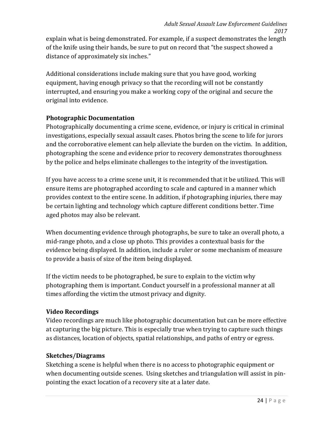explain what is being demonstrated. For example, if a suspect demonstrates the length of the knife using their hands, be sure to put on record that "the suspect showed a distance of approximately six inches."

Additional considerations include making sure that you have good, working equipment, having enough privacy so that the recording will not be constantly interrupted, and ensuring you make a working copy of the original and secure the original into evidence.

### **Photographic Documentation**

Photographically documenting a crime scene, evidence, or injury is critical in criminal investigations, especially sexual assault cases. Photos bring the scene to life for jurors and the corroborative element can help alleviate the burden on the victim. In addition, photographing the scene and evidence prior to recovery demonstrates thoroughness by the police and helps eliminate challenges to the integrity of the investigation.

If you have access to a crime scene unit, it is recommended that it be utilized. This will ensure items are photographed according to scale and captured in a manner which provides context to the entire scene. In addition, if photographing injuries, there may be certain lighting and technology which capture different conditions better. Time aged photos may also be relevant.

When documenting evidence through photographs, be sure to take an overall photo, a mid-range photo, and a close up photo. This provides a contextual basis for the evidence being displayed. In addition, include a ruler or some mechanism of measure to provide a basis of size of the item being displayed.

If the victim needs to be photographed, be sure to explain to the victim why photographing them is important. Conduct yourself in a professional manner at all times affording the victim the utmost privacy and dignity.

# **Video Recordings**

Video recordings are much like photographic documentation but can be more effective at capturing the big picture. This is especially true when trying to capture such things as distances, location of objects, spatial relationships, and paths of entry or egress.

#### **Sketches/Diagrams**

Sketching a scene is helpful when there is no access to photographic equipment or when documenting outside scenes. Using sketches and triangulation will assist in pinpointing the exact location of a recovery site at a later date.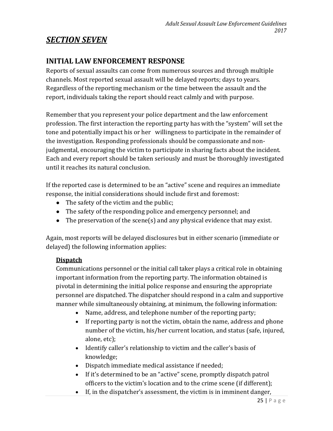# *SECTION SEVEN*

# **INITIAL LAW ENFORCEMENT RESPONSE**

Reports of sexual assaults can come from numerous sources and through multiple channels. Most reported sexual assault will be delayed reports; days to years. Regardless of the reporting mechanism or the time between the assault and the report, individuals taking the report should react calmly and with purpose.

Remember that you represent your police department and the law enforcement profession. The first interaction the reporting party has with the "system" will set the tone and potentially impact his or her willingness to participate in the remainder of the investigation. Responding professionals should be compassionate and nonjudgmental, encouraging the victim to participate in sharing facts about the incident. Each and every report should be taken seriously and must be thoroughly investigated until it reaches its natural conclusion.

If the reported case is determined to be an "active" scene and requires an immediate response, the initial considerations should include first and foremost:

- The safety of the victim and the public;
- The safety of the responding police and emergency personnel; and
- The preservation of the scene(s) and any physical evidence that may exist.

Again, most reports will be delayed disclosures but in either scenario (immediate or delayed) the following information applies:

# **Dispatch**

Communications personnel or the initial call taker plays a critical role in obtaining important information from the reporting party. The information obtained is pivotal in determining the initial police response and ensuring the appropriate personnel are dispatched. The dispatcher should respond in a calm and supportive manner while simultaneously obtaining, at minimum, the following information:

- Name, address, and telephone number of the reporting party;
- If reporting party is not the victim, obtain the name, address and phone number of the victim, his/her current location, and status (safe, injured, alone, etc);
- Identify caller's relationship to victim and the caller's basis of knowledge;
- Dispatch immediate medical assistance if needed;
- If it's determined to be an "active" scene, promptly dispatch patrol officers to the victim's location and to the crime scene (if different);
- If, in the dispatcher's assessment, the victim is in imminent danger,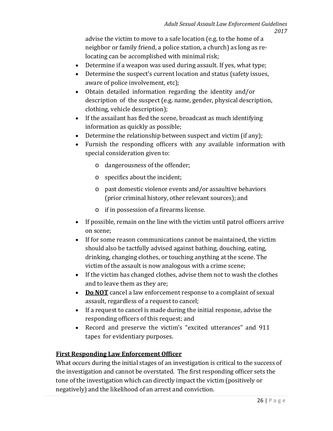advise the victim to move to a safe location (e.g. to the home of a neighbor or family friend, a police station, a church) as long as relocating can be accomplished with minimal risk;

- Determine if a weapon was used during assault. If yes, what type;
- Determine the suspect's current location and status (safety issues, aware of police involvement, etc);
- Obtain detailed information regarding the identity and/or description of the suspect (e.g. name, gender, physical description, clothing, vehicle description);
- If the assailant has fled the scene, broadcast as much identifying information as quickly as possible;
- Determine the relationship between suspect and victim (if any);
- Furnish the responding officers with any available information with special consideration given to:
	- o dangerousness of the offender;
	- o specifics about the incident;
	- o past domestic violence events and/or assaultive behaviors (prior criminal history, other relevant sources); and
	- o if in possession of a firearms license.
- If possible, remain on the line with the victim until patrol officers arrive on scene;
- If for some reason communications cannot be maintained, the victim should also be tactfully advised against bathing, douching, eating, drinking, changing clothes, or touching anything at the scene. The victim of the assault is now analogous with a crime scene;
- If the victim has changed clothes, advise them not to wash the clothes and to leave them as they are;
- **Do NOT** cancel a law enforcement response to a complaint of sexual assault, regardless of a request to cancel;
- If a request to cancel is made during the initial response, advise the responding officers of this request; and
- Record and preserve the victim's "excited utterances" and 911 tapes for evidentiary purposes.

# **First Responding Law Enforcement Officer**

What occurs during the initial stages of an investigation is critical to the success of the investigation and cannot be overstated. The first responding officer sets the tone of the investigation which can directly impact the victim (positively or negatively) and the likelihood of an arrest and conviction.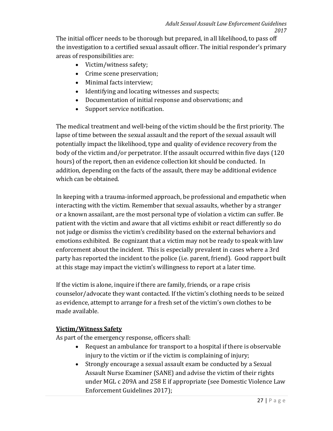The initial officer needs to be thorough but prepared, in all likelihood, to pass off the investigation to a certified sexual assault officer. The initial responder's primary areas of responsibilities are:

- Victim/witness safety;
- Crime scene preservation;
- Minimal facts interview;
- Identifying and locating witnesses and suspects;
- Documentation of initial response and observations; and
- Support service notification.

The medical treatment and well-being of the victim should be the first priority. The lapse of time between the sexual assault and the report of the sexual assault will potentially impact the likelihood, type and quality of evidence recovery from the body of the victim and/or perpetrator. If the assault occurred within five days (120 hours) of the report, then an evidence collection kit should be conducted. In addition, depending on the facts of the assault, there may be additional evidence which can be obtained.

In keeping with a trauma-informed approach, be professional and empathetic when interacting with the victim. Remember that sexual assaults, whether by a stranger or a known assailant, are the most personal type of violation a victim can suffer. Be patient with the victim and aware that all victims exhibit or react differently so do not judge or dismiss the victim's credibility based on the external behaviors and emotions exhibited. Be cognizant that a victim may not be ready to speak with law enforcement about the incident. This is especially prevalent in cases where a 3rd party has reported the incident to the police (i.e. parent, friend). Good rapport built at this stage may impact the victim's willingness to report at a later time.

If the victim is alone, inquire if there are family, friends, or a rape crisis counselor/advocate they want contacted. If the victim's clothing needs to be seized as evidence, attempt to arrange for a fresh set of the victim's own clothes to be made available.

# **Victim/Witness Safety**

As part of the emergency response, officers shall:

- Request an ambulance for transport to a hospital if there is observable injury to the victim or if the victim is complaining of injury;
- Strongly encourage a sexual assault exam be conducted by a Sexual Assault Nurse Examiner (SANE) and advise the victim of their rights under MGL c 209A and 258 E if appropriate (see Domestic Violence Law Enforcement Guidelines 2017);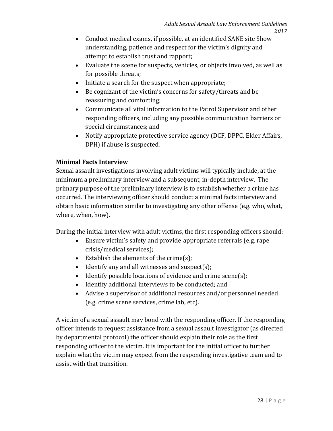- Conduct medical exams, if possible, at an identified SANE site Show understanding, patience and respect for the victim's dignity and attempt to establish trust and rapport;
- Evaluate the scene for suspects, vehicles, or objects involved, as well as for possible threats;
- Initiate a search for the suspect when appropriate;
- Be cognizant of the victim's concerns for safety/threats and be reassuring and comforting;
- Communicate all vital information to the Patrol Supervisor and other responding officers, including any possible communication barriers or special circumstances; and
- Notify appropriate protective service agency (DCF, DPPC, Elder Affairs, DPH) if abuse is suspected.

# **Minimal Facts Interview**

Sexual assault investigations involving adult victims will typically include, at the minimum a preliminary interview and a subsequent, in-depth interview. The primary purpose of the preliminary interview is to establish whether a crime has occurred. The interviewing officer should conduct a minimal facts interview and obtain basic information similar to investigating any other offense (e.g. who, what, where, when, how).

During the initial interview with adult victims, the first responding officers should:

- Ensure victim's safety and provide appropriate referrals (e.g. rape crisis/medical services);
- Establish the elements of the crime(s);
- Identify any and all witnesses and suspect(s);
- Identify possible locations of evidence and crime scene(s);
- Identify additional interviews to be conducted; and
- Advise a supervisor of additional resources and/or personnel needed (e.g. crime scene services, crime lab, etc).

A victim of a sexual assault may bond with the responding officer. If the responding officer intends to request assistance from a sexual assault investigator (as directed by departmental protocol) the officer should explain their role as the first responding officer to the victim. It is important for the initial officer to further explain what the victim may expect from the responding investigative team and to assist with that transition.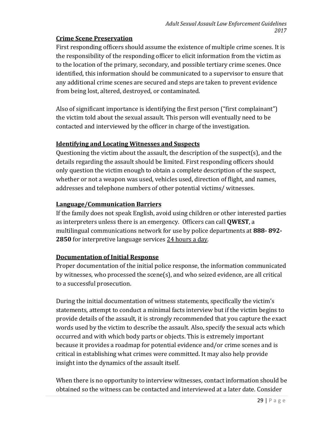# **Crime Scene Preservation**

First responding officers should assume the existence of multiple crime scenes. It is the responsibility of the responding officer to elicit information from the victim as to the location of the primary, secondary, and possible tertiary crime scenes. Once identified, this information should be communicated to a supervisor to ensure that any additional crime scenes are secured and steps are taken to prevent evidence from being lost, altered, destroyed, or contaminated.

Also of significant importance is identifying the first person ("first complainant") the victim told about the sexual assault. This person will eventually need to be contacted and interviewed by the officer in charge of the investigation.

# **Identifying and Locating Witnesses and Suspects**

Questioning the victim about the assault, the description of the suspect(s), and the details regarding the assault should be limited. First responding officers should only question the victim enough to obtain a complete description of the suspect, whether or not a weapon was used, vehicles used, direction of flight, and names, addresses and telephone numbers of other potential victims/ witnesses.

# **Language/Communication Barriers**

If the family does not speak English, avoid using children or other interested parties as interpreters unless there is an emergency. Officers can call **QWEST**, a multilingual communications network for use by police departments at **888- 892- 2850** for interpretive language services 24 hours a day.

# **Documentation of Initial Response**

Proper documentation of the initial police response, the information communicated by witnesses, who processed the scene(s), and who seized evidence, are all critical to a successful prosecution.

During the initial documentation of witness statements, specifically the victim's statements, attempt to conduct a minimal facts interview but if the victim begins to provide details of the assault, it is strongly recommended that you capture the exact words used by the victim to describe the assault. Also, specify the sexual acts which occurred and with which body parts or objects. This is extremely important because it provides a roadmap for potential evidence and/or crime scenes and is critical in establishing what crimes were committed. It may also help provide insight into the dynamics of the assault itself.

When there is no opportunity to interview witnesses, contact information should be obtained so the witness can be contacted and interviewed at a later date. Consider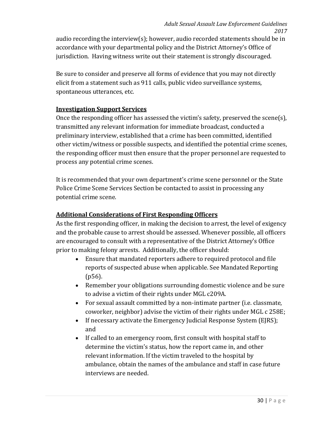audio recording the interview(s); however, audio recorded statements should be in accordance with your departmental policy and the District Attorney's Office of jurisdiction. Having witness write out their statement is strongly discouraged.

Be sure to consider and preserve all forms of evidence that you may not directly elicit from a statement such as 911 calls, public video surveillance systems, spontaneous utterances, etc.

### **Investigation Support Services**

Once the responding officer has assessed the victim's safety, preserved the scene(s), transmitted any relevant information for immediate broadcast, conducted a preliminary interview, established that a crime has been committed, identified other victim/witness or possible suspects, and identified the potential crime scenes, the responding officer must then ensure that the proper personnel are requested to process any potential crime scenes.

It is recommended that your own department's crime scene personnel or the State Police Crime Scene Services Section be contacted to assist in processing any potential crime scene.

#### **Additional Considerations of First Responding Officers**

As the first responding officer, in making the decision to arrest, the level of exigency and the probable cause to arrest should be assessed. Whenever possible, all officers are encouraged to consult with a representative of the District Attorney's Office prior to making felony arrests. Additionally, the officer should:

- Ensure that mandated reporters adhere to required protocol and file reports of suspected abuse when applicable. See Mandated Reporting (p56).
- Remember your obligations surrounding domestic violence and be sure to advise a victim of their rights under MGL c209A.
- For sexual assault committed by a non-intimate partner (i.e. classmate, coworker, neighbor) advise the victim of their rights under MGL c 258E;
- If necessary activate the Emergency Judicial Response System (EJRS); and
- If called to an emergency room, first consult with hospital staff to determine the victim's status, how the report came in, and other relevant information. If the victim traveled to the hospital by ambulance, obtain the names of the ambulance and staff in case future interviews are needed.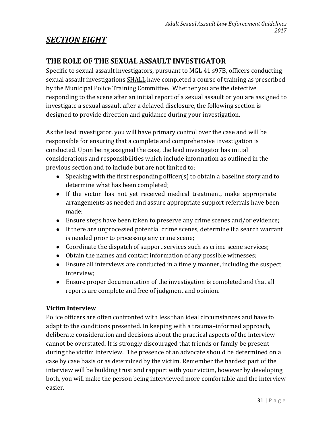# *SECTION EIGHT*

# **THE ROLE OF THE SEXUAL ASSAULT INVESTIGATOR**

Specific to sexual assault investigators, pursuant to MGL 41 s97B, officers conducting sexual assault investigations SHALL have completed a course of training as prescribed by the Municipal Police Training Committee. Whether you are the detective responding to the scene after an initial report of a sexual assault or you are assigned to investigate a sexual assault after a delayed disclosure, the following section is designed to provide direction and guidance during your investigation.

As the lead investigator, you will have primary control over the case and will be responsible for ensuring that a complete and comprehensive investigation is conducted. Upon being assigned the case, the lead investigator has initial considerations and responsibilities which include information as outlined in the previous section and to include but are not limited to:

- Speaking with the first responding officer(s) to obtain a baseline story and to determine what has been completed;
- If the victim has not yet received medical treatment, make appropriate arrangements as needed and assure appropriate support referrals have been made;
- Ensure steps have been taken to preserve any crime scenes and/or evidence;
- If there are unprocessed potential crime scenes, determine if a search warrant is needed prior to processing any crime scene;
- Coordinate the dispatch of support services such as crime scene services;
- Obtain the names and contact information of any possible witnesses;
- Ensure all interviews are conducted in a timely manner, including the suspect interview;
- Ensure proper documentation of the investigation is completed and that all reports are complete and free of judgment and opinion.

# **Victim Interview**

Police officers are often confronted with less than ideal circumstances and have to adapt to the conditions presented. In keeping with a trauma–informed approach, deliberate consideration and decisions about the practical aspects of the interview cannot be overstated. It is strongly discouraged that friends or family be present during the victim interview. The presence of an advocate should be determined on a case by case basis or as determined by the victim. Remember the hardest part of the interview will be building trust and rapport with your victim, however by developing both, you will make the person being interviewed more comfortable and the interview easier.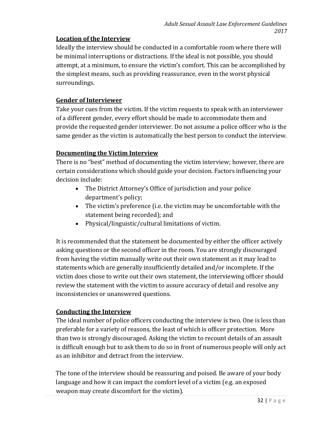# **Location of the Interview**

Ideally the interview should be conducted in a comfortable room where there will be minimal interruptions or distractions. If the ideal is not possible, you should attempt, at a minimum, to ensure the victim's comfort. This can be accomplished by the simplest means, such as providing reassurance, even in the worst physical surroundings.

# **Gender of Interviewer**

Take your cues from the victim. If the victim requests to speak with an interviewer of a different gender, every effort should be made to accommodate them and provide the requested gender interviewer. Do not assume a police officer who is the same gender as the victim is automatically the best person to conduct the interview.

# **Documenting the Victim Interview**

There is no "best" method of documenting the victim interview; however, there are certain considerations which should guide your decision. Factors influencing your decision include:

- The District Attorney's Office of jurisdiction and your police department's policy;
- The victim's preference (i.e. the victim may be uncomfortable with the statement being recorded); and
- Physical/linguistic/cultural limitations of victim.

It is recommended that the statement be documented by either the officer actively asking questions or the second officer in the room. You are strongly discouraged from having the victim manually write out their own statement as it may lead to statements which are generally insufficiently detailed and/or incomplete. If the victim does chose to write out their own statement, the interviewing officer should review the statement with the victim to assure accuracy of detail and resolve any inconsistencies or unanswered questions.

# **Conducting the Interview**

The ideal number of police officers conducting the interview is two. One is less than preferable for a variety of reasons, the least of which is officer protection. More than two is strongly discouraged. Asking the victim to recount details of an assault is difficult enough but to ask them to do so in front of numerous people will only act as an inhibitor and detract from the interview.

The tone of the interview should be reassuring and poised. Be aware of your body language and how it can impact the comfort level of a victim (e.g. an exposed weapon may create discomfort for the victim).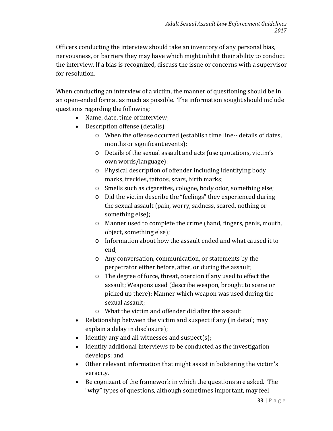Officers conducting the interview should take an inventory of any personal bias, nervousness, or barriers they may have which might inhibit their ability to conduct the interview. If a bias is recognized, discuss the issue or concerns with a supervisor for resolution.

When conducting an interview of a victim, the manner of questioning should be in an open-ended format as much as possible. The information sought should include questions regarding the following:

- Name, date, time of interview;
- Description offense (details);
	- o When the offense occurred (establish time line-- details of dates, months or significant events);
	- o Details of the sexual assault and acts (use quotations, victim's own words/language);
	- o Physical description of offender including identifying body marks, freckles, tattoos, scars, birth marks;
	- o Smells such as cigarettes, cologne, body odor, something else;
	- o Did the victim describe the "feelings" they experienced during the sexual assault (pain, worry, sadness, scared, nothing or something else);
	- o Manner used to complete the crime (hand, fingers, penis, mouth, object, something else);
	- o Information about how the assault ended and what caused it to end;
	- o Any conversation, communication, or statements by the perpetrator either before, after, or during the assault;
	- o The degree of force, threat, coercion if any used to effect the assault; Weapons used (describe weapon, brought to scene or picked up there); Manner which weapon was used during the sexual assault;
	- o What the victim and offender did after the assault
- Relationship between the victim and suspect if any (in detail; may explain a delay in disclosure);
- Identify any and all witnesses and suspect(s);
- Identify additional interviews to be conducted as the investigation develops; and
- Other relevant information that might assist in bolstering the victim's veracity.
- Be cognizant of the framework in which the questions are asked. The "why" types of questions, although sometimes important, may feel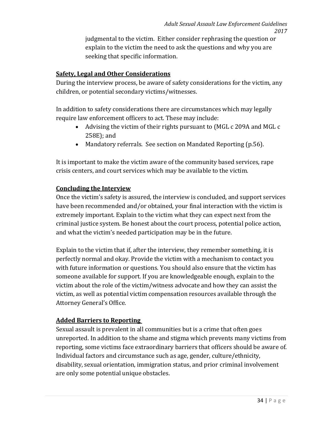judgmental to the victim. Either consider rephrasing the question or explain to the victim the need to ask the questions and why you are seeking that specific information.

# **Safety, Legal and Other Considerations**

During the interview process, be aware of safety considerations for the victim, any children, or potential secondary victims/witnesses.

In addition to safety considerations there are circumstances which may legally require law enforcement officers to act. These may include:

- Advising the victim of their rights pursuant to (MGL c 209A and MGL c 258E); and
- Mandatory referrals. See section on Mandated Reporting (p.56).

It is important to make the victim aware of the community based services, rape crisis centers, and court services which may be available to the victim.

#### **Concluding the Interview**

Once the victim's safety is assured, the interview is concluded, and support services have been recommended and/or obtained, your final interaction with the victim is extremely important. Explain to the victim what they can expect next from the criminal justice system. Be honest about the court process, potential police action, and what the victim's needed participation may be in the future.

Explain to the victim that if, after the interview, they remember something, it is perfectly normal and okay. Provide the victim with a mechanism to contact you with future information or questions. You should also ensure that the victim has someone available for support. If you are knowledgeable enough, explain to the victim about the role of the victim/witness advocate and how they can assist the victim, as well as potential victim compensation resources available through the Attorney General's Office.

# **Added Barriers to Reporting**

Sexual assault is prevalent in all communities but is a crime that often goes unreported. In addition to the shame and stigma which prevents many victims from reporting, some victims face extraordinary barriers that officers should be aware of. Individual factors and circumstance such as age, gender, culture/ethnicity, disability, sexual orientation, immigration status, and prior criminal involvement are only some potential unique obstacles.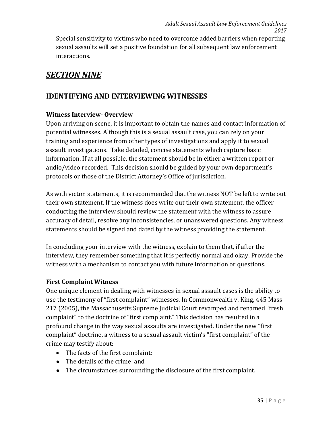Special sensitivity to victims who need to overcome added barriers when reporting sexual assaults will set a positive foundation for all subsequent law enforcement interactions.

# *SECTION NINE*

# **IDENTIFYING AND INTERVIEWING WITNESSES**

# **Witness Interview- Overview**

Upon arriving on scene, it is important to obtain the names and contact information of potential witnesses. Although this is a sexual assault case, you can rely on your training and experience from other types of investigations and apply it to sexual assault investigations. Take detailed, concise statements which capture basic information. If at all possible, the statement should be in either a written report or audio/video recorded. This decision should be guided by your own department's protocols or those of the District Attorney's Office of jurisdiction.

As with victim statements, it is recommended that the witness NOT be left to write out their own statement. If the witness does write out their own statement, the officer conducting the interview should review the statement with the witness to assure accuracy of detail, resolve any inconsistencies, or unanswered questions. Any witness statements should be signed and dated by the witness providing the statement.

In concluding your interview with the witness, explain to them that, if after the interview, they remember something that it is perfectly normal and okay. Provide the witness with a mechanism to contact you with future information or questions.

# **First Complaint Witness**

One unique element in dealing with witnesses in sexual assault cases is the ability to use the testimony of "first complaint" witnesses. In Commonwealth v. King, 445 Mass 217 (2005), the Massachusetts Supreme Judicial Court revamped and renamed "fresh complaint" to the doctrine of "first complaint." This decision has resulted in a profound change in the way sexual assaults are investigated. Under the new "first complaint" doctrine, a witness to a sexual assault victim's "first complaint" of the crime may testify about:

- The facts of the first complaint;
- The details of the crime; and
- The circumstances surrounding the disclosure of the first complaint.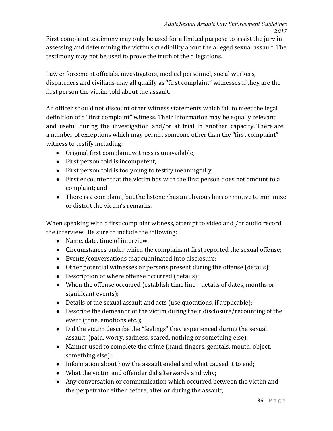First complaint testimony may only be used for a limited purpose to assist the jury in assessing and determining the victim's credibility about the alleged sexual assault. The testimony may not be used to prove the truth of the allegations.

Law enforcement officials, investigators, medical personnel, social workers, dispatchers and civilians may all qualify as "first complaint" witnesses if they are the first person the victim told about the assault.

An officer should not discount other witness statements which fail to meet the legal definition of a "first complaint" witness. Their information may be equally relevant and useful during the investigation and/or at trial in another capacity. There are a number of exceptions which may permit someone other than the "first complaint" witness to testify including:

- Original first complaint witness is unavailable;
- First person told is incompetent;
- First person told is too young to testify meaningfully;
- First encounter that the victim has with the first person does not amount to a complaint; and
- There is a complaint, but the listener has an obvious bias or motive to minimize or distort the victim's remarks.

When speaking with a first complaint witness, attempt to video and /or audio record the interview. Be sure to include the following:

- Name, date, time of interview;
- Circumstances under which the complainant first reported the sexual offense;
- Events/conversations that culminated into disclosure;
- Other potential witnesses or persons present during the offense (details);
- Description of where offense occurred (details);
- When the offense occurred (establish time line-- details of dates, months or significant events);
- Details of the sexual assault and acts (use quotations, if applicable);
- Describe the demeanor of the victim during their disclosure/recounting of the event (tone, emotions etc.);
- Did the victim describe the "feelings" they experienced during the sexual assault (pain, worry, sadness, scared, nothing or something else);
- Manner used to complete the crime (hand, fingers, genitals, mouth, object, something else);
- Information about how the assault ended and what caused it to end;
- What the victim and offender did afterwards and why;
- Any conversation or communication which occurred between the victim and the perpetrator either before, after or during the assault;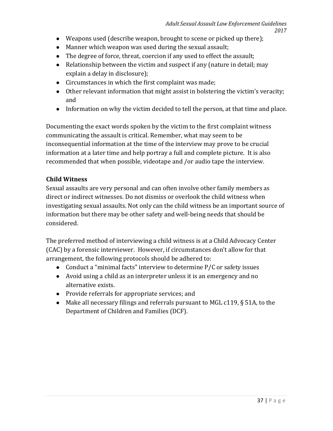- Weapons used (describe weapon, brought to scene or picked up there);
- Manner which weapon was used during the sexual assault;
- The degree of force, threat, coercion if any used to effect the assault;
- Relationship between the victim and suspect if any (nature in detail; may explain a delay in disclosure);
- Circumstances in which the first complaint was made;
- Other relevant information that might assist in bolstering the victim's veracity; and
- Information on why the victim decided to tell the person, at that time and place.

Documenting the exact words spoken by the victim to the first complaint witness communicating the assault is critical. Remember, what may seem to be inconsequential information at the time of the interview may prove to be crucial information at a later time and help portray a full and complete picture. It is also recommended that when possible, videotape and /or audio tape the interview.

### **Child Witness**

Sexual assaults are very personal and can often involve other family members as direct or indirect witnesses. Do not dismiss or overlook the child witness when investigating sexual assaults. Not only can the child witness be an important source of information but there may be other safety and well-being needs that should be considered.

The preferred method of interviewing a child witness is at a Child Advocacy Center (CAC) by a forensic interviewer. However, if circumstances don't allow for that arrangement, the following protocols should be adhered to:

- Conduct a "minimal facts" interview to determine P/C or safety issues
- Avoid using a child as an interpreter unless it is an emergency and no alternative exists.
- Provide referrals for appropriate services; and
- Make all necessary filings and referrals pursuant to MGL c119, § 51A, to the Department of Children and Families (DCF).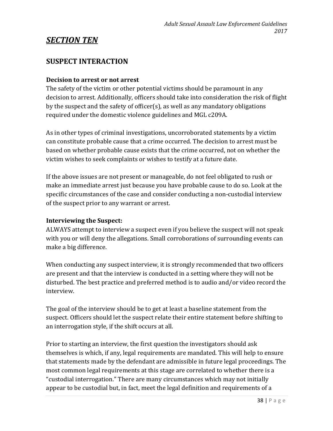## *SECTION TEN*

## **SUSPECT INTERACTION**

#### **Decision to arrest or not arrest**

The safety of the victim or other potential victims should be paramount in any decision to arrest. Additionally, officers should take into consideration the risk of flight by the suspect and the safety of officer(s), as well as any mandatory obligations required under the domestic violence guidelines and MGL c209A.

As in other types of criminal investigations, uncorroborated statements by a victim can constitute probable cause that a crime occurred. The decision to arrest must be based on whether probable cause exists that the crime occurred, not on whether the victim wishes to seek complaints or wishes to testify at a future date.

If the above issues are not present or manageable, do not feel obligated to rush or make an immediate arrest just because you have probable cause to do so. Look at the specific circumstances of the case and consider conducting a non-custodial interview of the suspect prior to any warrant or arrest.

#### **Interviewing the Suspect:**

ALWAYS attempt to interview a suspect even if you believe the suspect will not speak with you or will deny the allegations. Small corroborations of surrounding events can make a big difference.

When conducting any suspect interview, it is strongly recommended that two officers are present and that the interview is conducted in a setting where they will not be disturbed. The best practice and preferred method is to audio and/or video record the interview.

The goal of the interview should be to get at least a baseline statement from the suspect. Officers should let the suspect relate their entire statement before shifting to an interrogation style, if the shift occurs at all.

Prior to starting an interview, the first question the investigators should ask themselves is which, if any, legal requirements are mandated. This will help to ensure that statements made by the defendant are admissible in future legal proceedings. The most common legal requirements at this stage are correlated to whether there is a "custodial interrogation." There are many circumstances which may not initially appear to be custodial but, in fact, meet the legal definition and requirements of a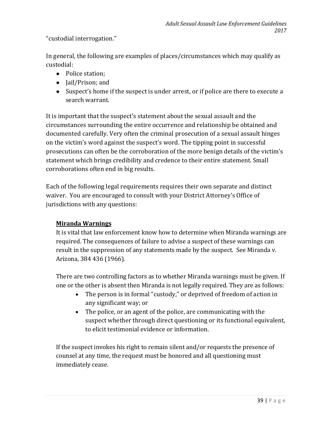"custodial interrogation."

In general, the following are examples of places/circumstances which may qualify as custodial:

- Police station;
- Jail/Prison; and
- Suspect's home if the suspect is under arrest, or if police are there to execute a search warrant.

It is important that the suspect's statement about the sexual assault and the circumstances surrounding the entire occurrence and relationship be obtained and documented carefully. Very often the criminal prosecution of a sexual assault hinges on the victim's word against the suspect's word. The tipping point in successful prosecutions can often be the corroboration of the more benign details of the victim's statement which brings credibility and credence to their entire statement. Small corroborations often end in big results.

Each of the following legal requirements requires their own separate and distinct waiver. You are encouraged to consult with your District Attorney's Office of jurisdictions with any questions:

### **Miranda Warnings**

It is vital that law enforcement know how to determine when Miranda warnings are required. The consequences of failure to advise a suspect of these warnings can result in the suppression of any statements made by the suspect. See Miranda v. Arizona, 384 436 (1966).

There are two controlling factors as to whether Miranda warnings must be given. If one or the other is absent then Miranda is not legally required. They are as follows:

- The person is in formal "custody," or deprived of freedom of action in any significant way; or
- The police, or an agent of the police, are communicating with the suspect whether through direct questioning or its functional equivalent, to elicit testimonial evidence or information.

If the suspect invokes his right to remain silent and/or requests the presence of counsel at any time, the request must be honored and all questioning must immediately cease.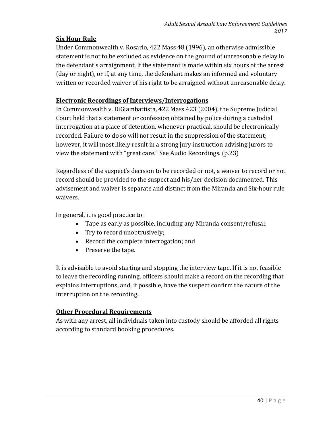#### **Six Hour Rule**

Under Commonwealth v. Rosario, 422 Mass 48 (1996), an otherwise admissible statement is not to be excluded as evidence on the ground of unreasonable delay in the defendant's arraignment, if the statement is made within six hours of the arrest (day or night), or if, at any time, the defendant makes an informed and voluntary written or recorded waiver of his right to be arraigned without unreasonable delay.

### **Electronic Recordings of Interviews/Interrogations**

In Commonwealth v. DiGiambattista, 422 Mass 423 (2004), the Supreme Judicial Court held that a statement or confession obtained by police during a custodial interrogation at a place of detention, whenever practical, should be electronically recorded. Failure to do so will not result in the suppression of the statement; however, it will most likely result in a strong jury instruction advising jurors to view the statement with "great care." See Audio Recordings. (p.23)

Regardless of the suspect's decision to be recorded or not, a waiver to record or not record should be provided to the suspect and his/her decision documented. This advisement and waiver is separate and distinct from the Miranda and Six-hour rule waivers.

In general, it is good practice to:

- Tape as early as possible, including any Miranda consent/refusal;
- Try to record unobtrusively;
- Record the complete interrogation; and
- Preserve the tape.

It is advisable to avoid starting and stopping the interview tape. If it is not feasible to leave the recording running, officers should make a record on the recording that explains interruptions, and, if possible, have the suspect confirm the nature of the interruption on the recording.

#### **Other Procedural Requirements**

As with any arrest, all individuals taken into custody should be afforded all rights according to standard booking procedures.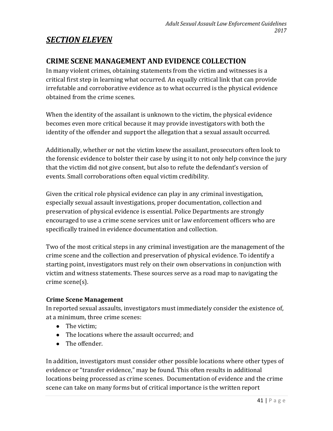## *SECTION ELEVEN*

## **CRIME SCENE MANAGEMENT AND EVIDENCE COLLECTION**

In many violent crimes, obtaining statements from the victim and witnesses is a critical first step in learning what occurred. An equally critical link that can provide irrefutable and corroborative evidence as to what occurred is the physical evidence obtained from the crime scenes.

When the identity of the assailant is unknown to the victim, the physical evidence becomes even more critical because it may provide investigators with both the identity of the offender and support the allegation that a sexual assault occurred.

Additionally, whether or not the victim knew the assailant, prosecutors often look to the forensic evidence to bolster their case by using it to not only help convince the jury that the victim did not give consent, but also to refute the defendant's version of events. Small corroborations often equal victim credibility.

Given the critical role physical evidence can play in any criminal investigation, especially sexual assault investigations, proper documentation, collection and preservation of physical evidence is essential. Police Departments are strongly encouraged to use a crime scene services unit or law enforcement officers who are specifically trained in evidence documentation and collection.

Two of the most critical steps in any criminal investigation are the management of the crime scene and the collection and preservation of physical evidence. To identify a starting point, investigators must rely on their own observations in conjunction with victim and witness statements. These sources serve as a road map to navigating the crime scene(s).

### **Crime Scene Management**

In reported sexual assaults, investigators must immediately consider the existence of, at a minimum, three crime scenes:

- The victim:
- The locations where the assault occurred; and
- The offender.

In addition, investigators must consider other possible locations where other types of evidence or "transfer evidence," may be found. This often results in additional locations being processed as crime scenes. Documentation of evidence and the crime scene can take on many forms but of critical importance is the written report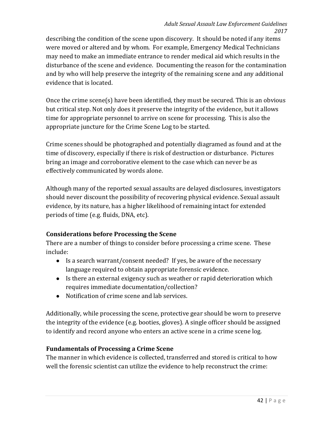describing the condition of the scene upon discovery. It should be noted if any items were moved or altered and by whom. For example, Emergency Medical Technicians may need to make an immediate entrance to render medical aid which results in the disturbance of the scene and evidence. Documenting the reason for the contamination and by who will help preserve the integrity of the remaining scene and any additional evidence that is located.

Once the crime scene(s) have been identified, they must be secured. This is an obvious but critical step. Not only does it preserve the integrity of the evidence, but it allows time for appropriate personnel to arrive on scene for processing. This is also the appropriate juncture for the Crime Scene Log to be started.

Crime scenes should be photographed and potentially diagramed as found and at the time of discovery, especially if there is risk of destruction or disturbance. Pictures bring an image and corroborative element to the case which can never be as effectively communicated by words alone.

Although many of the reported sexual assaults are delayed disclosures, investigators should never discount the possibility of recovering physical evidence. Sexual assault evidence, by its nature, has a higher likelihood of remaining intact for extended periods of time (e.g. fluids, DNA, etc).

### **Considerations before Processing the Scene**

There are a number of things to consider before processing a crime scene. These include:

- Is a search warrant/consent needed? If yes, be aware of the necessary language required to obtain appropriate forensic evidence.
- Is there an external exigency such as weather or rapid deterioration which requires immediate documentation/collection?
- Notification of crime scene and lab services.

Additionally, while processing the scene, protective gear should be worn to preserve the integrity of the evidence (e.g. booties, gloves). A single officer should be assigned to identify and record anyone who enters an active scene in a crime scene log.

### **Fundamentals of Processing a Crime Scene**

The manner in which evidence is collected, transferred and stored is critical to how well the forensic scientist can utilize the evidence to help reconstruct the crime: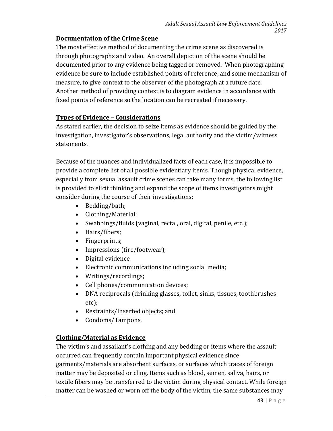### **Documentation of the Crime Scene**

The most effective method of documenting the crime scene as discovered is through photographs and video. An overall depiction of the scene should be documented prior to any evidence being tagged or removed. When photographing evidence be sure to include established points of reference, and some mechanism of measure, to give context to the observer of the photograph at a future date. Another method of providing context is to diagram evidence in accordance with fixed points of reference so the location can be recreated if necessary.

### **Types of Evidence – Considerations**

As stated earlier, the decision to seize items as evidence should be guided by the investigation, investigator's observations, legal authority and the victim/witness statements.

Because of the nuances and individualized facts of each case, it is impossible to provide a complete list of all possible evidentiary items. Though physical evidence, especially from sexual assault crime scenes can take many forms, the following list is provided to elicit thinking and expand the scope of items investigators might consider during the course of their investigations:

- Bedding/bath;
- Clothing/Material;
- Swabbings/fluids (vaginal, rectal, oral, digital, penile, etc.);
- Hairs/fibers;
- Fingerprints;
- Impressions (tire/footwear);
- Digital evidence
- Electronic communications including social media;
- Writings/recordings;
- Cell phones/communication devices;
- DNA reciprocals (drinking glasses, toilet, sinks, tissues, toothbrushes etc);
- Restraints/Inserted objects; and
- Condoms/Tampons.

### **Clothing/Material as Evidence**

The victim's and assailant's clothing and any bedding or items where the assault occurred can frequently contain important physical evidence since garments/materials are absorbent surfaces, or surfaces which traces of foreign matter may be deposited or cling. Items such as blood, semen, saliva, hairs, or textile fibers may be transferred to the victim during physical contact. While foreign matter can be washed or worn off the body of the victim, the same substances may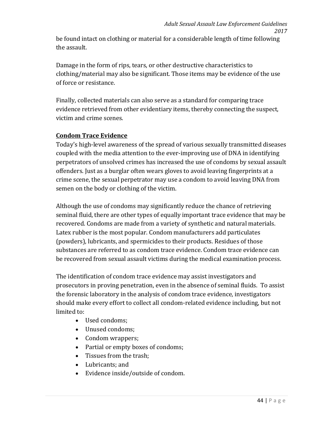be found intact on clothing or material for a considerable length of time following the assault.

Damage in the form of rips, tears, or other destructive characteristics to clothing/material may also be significant. Those items may be evidence of the use of force or resistance.

Finally, collected materials can also serve as a standard for comparing trace evidence retrieved from other evidentiary items, thereby connecting the suspect, victim and crime scenes.

### **Condom Trace Evidence**

Today's high-level awareness of the spread of various sexually transmitted diseases coupled with the media attention to the ever-improving use of DNA in identifying perpetrators of unsolved crimes has increased the use of condoms by sexual assault offenders. Just as a burglar often wears gloves to avoid leaving fingerprints at a crime scene, the sexual perpetrator may use a condom to avoid leaving DNA from semen on the body or clothing of the victim.

Although the use of condoms may significantly reduce the chance of retrieving seminal fluid, there are other types of equally important trace evidence that may be recovered. Condoms are made from a variety of synthetic and natural materials. Latex rubber is the most popular. Condom manufacturers add particulates (powders), lubricants, and spermicides to their products. Residues of those substances are referred to as condom trace evidence. Condom trace evidence can be recovered from sexual assault victims during the medical examination process.

The identification of condom trace evidence may assist investigators and prosecutors in proving penetration, even in the absence of seminal fluids. To assist the forensic laboratory in the analysis of condom trace evidence, investigators should make every effort to collect all condom-related evidence including, but not limited to:

- Used condoms;
- Unused condoms;
- Condom wrappers;
- Partial or empty boxes of condoms;
- Tissues from the trash;
- Lubricants; and
- Evidence inside/outside of condom.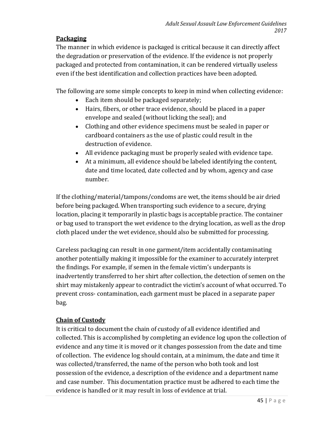### **Packaging**

The manner in which evidence is packaged is critical because it can directly affect the degradation or preservation of the evidence. If the evidence is not properly packaged and protected from contamination, it can be rendered virtually useless even if the best identification and collection practices have been adopted.

The following are some simple concepts to keep in mind when collecting evidence:

- Each item should be packaged separately;
- Hairs, fibers, or other trace evidence, should be placed in a paper envelope and sealed (without licking the seal); and
- Clothing and other evidence specimens must be sealed in paper or cardboard containers as the use of plastic could result in the destruction of evidence.
- All evidence packaging must be properly sealed with evidence tape.
- At a minimum, all evidence should be labeled identifying the content, date and time located, date collected and by whom, agency and case number.

If the clothing/material/tampons/condoms are wet, the items should be air dried before being packaged. When transporting such evidence to a secure, drying location, placing it temporarily in plastic bags is acceptable practice. The container or bag used to transport the wet evidence to the drying location, as well as the drop cloth placed under the wet evidence, should also be submitted for processing.

Careless packaging can result in one garment/item accidentally contaminating another potentially making it impossible for the examiner to accurately interpret the findings. For example, if semen in the female victim's underpants is inadvertently transferred to her shirt after collection, the detection of semen on the shirt may mistakenly appear to contradict the victim's account of what occurred. To prevent cross- contamination, each garment must be placed in a separate paper bag.

## **Chain of Custody**

It is critical to document the chain of custody of all evidence identified and collected. This is accomplished by completing an evidence log upon the collection of evidence and any time it is moved or it changes possession from the date and time of collection. The evidence log should contain, at a minimum, the date and time it was collected/transferred, the name of the person who both took and lost possession of the evidence, a description of the evidence and a department name and case number. This documentation practice must be adhered to each time the evidence is handled or it may result in loss of evidence at trial.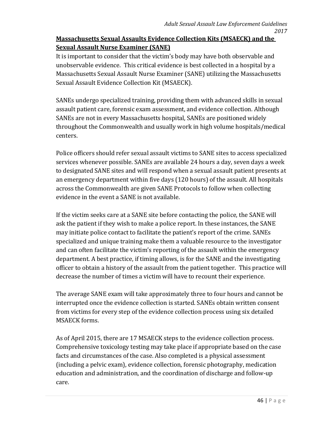## **Massachusetts Sexual Assaults Evidence Collection Kits (MSAECK) and the Sexual Assault Nurse Examiner (SANE)**

It is important to consider that the victim's body may have both observable and unobservable evidence. This critical evidence is best collected in a hospital by a Massachusetts Sexual Assault Nurse Examiner (SANE) utilizing the Massachusetts Sexual Assault Evidence Collection Kit (MSAECK).

SANEs undergo specialized training, providing them with advanced skills in sexual assault patient care, forensic exam assessment, and evidence collection. Although SANEs are not in every Massachusetts hospital, SANEs are positioned widely throughout the Commonwealth and usually work in high volume hospitals/medical centers.

Police officers should refer sexual assault victims to SANE sites to access specialized services whenever possible. SANEs are available 24 hours a day, seven days a week to designated SANE sites and will respond when a sexual assault patient presents at an emergency department within five days (120 hours) of the assault. All hospitals across the Commonwealth are given SANE Protocols to follow when collecting evidence in the event a SANE is not available.

If the victim seeks care at a SANE site before contacting the police, the SANE will ask the patient if they wish to make a police report. In these instances, the SANE may initiate police contact to facilitate the patient's report of the crime. SANEs specialized and unique training make them a valuable resource to the investigator and can often facilitate the victim's reporting of the assault within the emergency department. A best practice, if timing allows, is for the SANE and the investigating officer to obtain a history of the assault from the patient together. This practice will decrease the number of times a victim will have to recount their experience.

The average SANE exam will take approximately three to four hours and cannot be interrupted once the evidence collection is started. SANEs obtain written consent from victims for every step of the evidence collection process using six detailed MSAECK forms.

As of April 2015, there are 17 MSAECK steps to the evidence collection process. Comprehensive toxicology testing may take place if appropriate based on the case facts and circumstances of the case. Also completed is a physical assessment (including a pelvic exam), evidence collection, forensic photography, medication education and administration, and the coordination of discharge and follow-up care.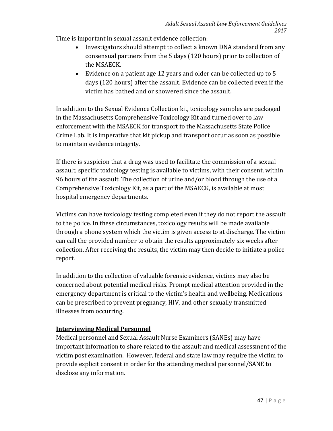Time is important in sexual assault evidence collection:

- Investigators should attempt to collect a known DNA standard from any consensual partners from the 5 days (120 hours) prior to collection of the MSAECK.
- Evidence on a patient age 12 years and older can be collected up to 5 days (120 hours) after the assault. Evidence can be collected even if the victim has bathed and or showered since the assault.

In addition to the Sexual Evidence Collection kit, toxicology samples are packaged in the Massachusetts Comprehensive Toxicology Kit and turned over to law enforcement with the MSAECK for transport to the Massachusetts State Police Crime Lab. It is imperative that kit pickup and transport occur as soon as possible to maintain evidence integrity.

If there is suspicion that a drug was used to facilitate the commission of a sexual assault, specific toxicology testing is available to victims, with their consent, within 96 hours of the assault. The collection of urine and/or blood through the use of a Comprehensive Toxicology Kit, as a part of the MSAECK, is available at most hospital emergency departments.

Victims can have toxicology testing completed even if they do not report the assault to the police. In these circumstances, toxicology results will be made available through a phone system which the victim is given access to at discharge. The victim can call the provided number to obtain the results approximately six weeks after collection. After receiving the results, the victim may then decide to initiate a police report.

In addition to the collection of valuable forensic evidence, victims may also be concerned about potential medical risks. Prompt medical attention provided in the emergency department is critical to the victim's health and wellbeing. Medications can be prescribed to prevent pregnancy, HIV, and other sexually transmitted illnesses from occurring.

## **Interviewing Medical Personnel**

Medical personnel and Sexual Assault Nurse Examiners (SANEs) may have important information to share related to the assault and medical assessment of the victim post examination. However, federal and state law may require the victim to provide explicit consent in order for the attending medical personnel/SANE to disclose any information.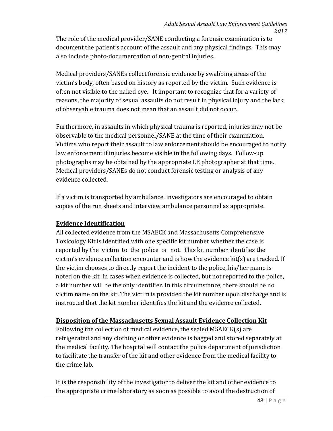The role of the medical provider/SANE conducting a forensic examination is to document the patient's account of the assault and any physical findings. This may also include photo-documentation of non-genital injuries.

Medical providers/SANEs collect forensic evidence by swabbing areas of the victim's body, often based on history as reported by the victim. Such evidence is often not visible to the naked eye. It important to recognize that for a variety of reasons, the majority of sexual assaults do not result in physical injury and the lack of observable trauma does not mean that an assault did not occur.

Furthermore, in assaults in which physical trauma is reported, injuries may not be observable to the medical personnel/SANE at the time of their examination. Victims who report their assault to law enforcement should be encouraged to notify law enforcement if injuries become visible in the following days. Follow-up photographs may be obtained by the appropriate LE photographer at that time. Medical providers/SANEs do not conduct forensic testing or analysis of any evidence collected.

If a victim is transported by ambulance, investigators are encouraged to obtain copies of the run sheets and interview ambulance personnel as appropriate.

#### **Evidence Identification**

All collected evidence from the MSAECK and Massachusetts Comprehensive Toxicology Kit is identified with one specific kit number whether the case is reported by the victim to the police or not. This kit number identifies the victim's evidence collection encounter and is how the evidence kit(s) are tracked. If the victim chooses to directly report the incident to the police, his/her name is noted on the kit. In cases when evidence is collected, but not reported to the police, a kit number will be the only identifier. In this circumstance, there should be no victim name on the kit. The victim is provided the kit number upon discharge and is instructed that the kit number identifies the kit and the evidence collected.

### **Disposition of the Massachusetts Sexual Assault Evidence Collection Kit**

Following the collection of medical evidence, the sealed MSAECK(s) are refrigerated and any clothing or other evidence is bagged and stored separately at the medical facility. The hospital will contact the police department of jurisdiction to facilitate the transfer of the kit and other evidence from the medical facility to the crime lab.

It is the responsibility of the investigator to deliver the kit and other evidence to the appropriate crime laboratory as soon as possible to avoid the destruction of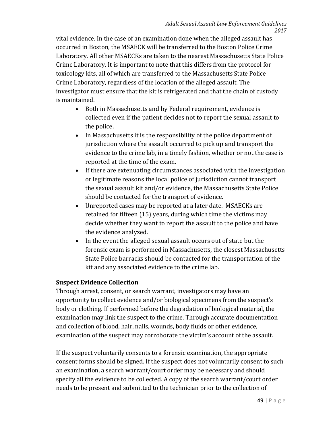vital evidence. In the case of an examination done when the alleged assault has occurred in Boston, the MSAECK will be transferred to the Boston Police Crime Laboratory. All other MSAECKs are taken to the nearest Massachusetts State Police Crime Laboratory. It is important to note that this differs from the protocol for toxicology kits, all of which are transferred to the Massachusetts State Police Crime Laboratory, regardless of the location of the alleged assault. The investigator must ensure that the kit is refrigerated and that the chain of custody is maintained.

- Both in Massachusetts and by Federal requirement, evidence is collected even if the patient decides not to report the sexual assault to the police.
- In Massachusetts it is the responsibility of the police department of jurisdiction where the assault occurred to pick up and transport the evidence to the crime lab, in a timely fashion, whether or not the case is reported at the time of the exam.
- If there are extenuating circumstances associated with the investigation or legitimate reasons the local police of jurisdiction cannot transport the sexual assault kit and/or evidence, the Massachusetts State Police should be contacted for the transport of evidence.
- Unreported cases may be reported at a later date. MSAECKs are retained for fifteen (15) years, during which time the victims may decide whether they want to report the assault to the police and have the evidence analyzed.
- In the event the alleged sexual assault occurs out of state but the forensic exam is performed in Massachusetts, the closest Massachusetts State Police barracks should be contacted for the transportation of the kit and any associated evidence to the crime lab.

### **Suspect Evidence Collection**

Through arrest, consent, or search warrant, investigators may have an opportunity to collect evidence and/or biological specimens from the suspect's body or clothing. If performed before the degradation of biological material, the examination may link the suspect to the crime. Through accurate documentation and collection of blood, hair, nails, wounds, body fluids or other evidence, examination of the suspect may corroborate the victim's account of the assault.

If the suspect voluntarily consents to a forensic examination, the appropriate consent forms should be signed. If the suspect does not voluntarily consent to such an examination, a search warrant/court order may be necessary and should specify all the evidence to be collected. A copy of the search warrant/court order needs to be present and submitted to the technician prior to the collection of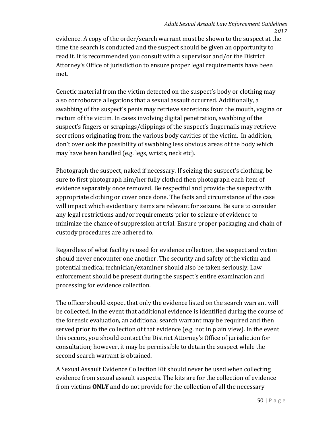evidence. A copy of the order/search warrant must be shown to the suspect at the time the search is conducted and the suspect should be given an opportunity to read it. It is recommended you consult with a supervisor and/or the District Attorney's Office of jurisdiction to ensure proper legal requirements have been met.

Genetic material from the victim detected on the suspect's body or clothing may also corroborate allegations that a sexual assault occurred. Additionally, a swabbing of the suspect's penis may retrieve secretions from the mouth, vagina or rectum of the victim. In cases involving digital penetration, swabbing of the suspect's fingers or scrapings/clippings of the suspect's fingernails may retrieve secretions originating from the various body cavities of the victim. In addition, don't overlook the possibility of swabbing less obvious areas of the body which may have been handled (e.g. legs, wrists, neck etc).

Photograph the suspect, naked if necessary. If seizing the suspect's clothing, be sure to first photograph him/her fully clothed then photograph each item of evidence separately once removed. Be respectful and provide the suspect with appropriate clothing or cover once done. The facts and circumstance of the case will impact which evidentiary items are relevant for seizure. Be sure to consider any legal restrictions and/or requirements prior to seizure of evidence to minimize the chance of suppression at trial. Ensure proper packaging and chain of custody procedures are adhered to.

Regardless of what facility is used for evidence collection, the suspect and victim should never encounter one another. The security and safety of the victim and potential medical technician/examiner should also be taken seriously. Law enforcement should be present during the suspect's entire examination and processing for evidence collection.

The officer should expect that only the evidence listed on the search warrant will be collected. In the event that additional evidence is identified during the course of the forensic evaluation, an additional search warrant may be required and then served prior to the collection of that evidence (e.g. not in plain view). In the event this occurs, you should contact the District Attorney's Office of jurisdiction for consultation; however, it may be permissible to detain the suspect while the second search warrant is obtained.

A Sexual Assault Evidence Collection Kit should never be used when collecting evidence from sexual assault suspects. The kits are for the collection of evidence from victims **ONLY** and do not provide for the collection of all the necessary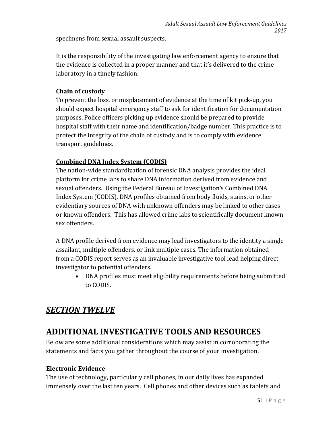specimens from sexual assault suspects.

It is the responsibility of the investigating law enforcement agency to ensure that the evidence is collected in a proper manner and that it's delivered to the crime laboratory in a timely fashion.

### **Chain of custody**

To prevent the loss, or misplacement of evidence at the time of kit pick-up, you should expect hospital emergency staff to ask for identification for documentation purposes. Police officers picking up evidence should be prepared to provide hospital staff with their name and identification/badge number. This practice is to protect the integrity of the chain of custody and is to comply with evidence transport guidelines.

### **Combined DNA Index System (CODIS)**

The nation-wide standardization of forensic DNA analysis provides the ideal platform for crime labs to share DNA information derived from evidence and sexual offenders. Using the Federal Bureau of Investigation's Combined DNA Index System (CODIS), DNA profiles obtained from body fluids, stains, or other evidentiary sources of DNA with unknown offenders may be linked to other cases or known offenders. This has allowed crime labs to scientifically document known sex offenders.

A DNA profile derived from evidence may lead investigators to the identity a single assailant, multiple offenders, or link multiple cases. The information obtained from a CODIS report serves as an invaluable investigative tool lead helping direct investigator to potential offenders.

• DNA profiles must meet eligibility requirements before being submitted to CODIS.

## *SECTION TWELVE*

## **ADDITIONAL INVESTIGATIVE TOOLS AND RESOURCES**

Below are some additional considerations which may assist in corroborating the statements and facts you gather throughout the course of your investigation.

#### **Electronic Evidence**

The use of technology, particularly cell phones, in our daily lives has expanded immensely over the last ten years. Cell phones and other devices such as tablets and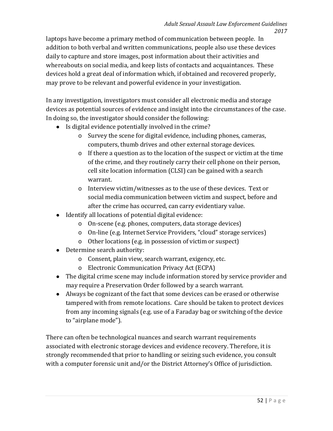laptops have become a primary method of communication between people. In addition to both verbal and written communications, people also use these devices daily to capture and store images, post information about their activities and whereabouts on social media, and keep lists of contacts and acquaintances. These devices hold a great deal of information which, if obtained and recovered properly, may prove to be relevant and powerful evidence in your investigation.

In any investigation, investigators must consider all electronic media and storage devices as potential sources of evidence and insight into the circumstances of the case. In doing so, the investigator should consider the following:

- Is digital evidence potentially involved in the crime?
	- o Survey the scene for digital evidence, including phones, cameras, computers, thumb drives and other external storage devices.
	- o If there a question as to the location of the suspect or victim at the time of the crime, and they routinely carry their cell phone on their person, cell site location information (CLSI) can be gained with a search warrant.
	- o Interview victim/witnesses as to the use of these devices. Text or social media communication between victim and suspect, before and after the crime has occurred, can carry evidentiary value.
- Identify all locations of potential digital evidence:
	- o On-scene (e.g. phones, computers, data storage devices)
	- o On-line (e.g. Internet Service Providers, "cloud" storage services)
	- o Other locations (e.g. in possession of victim or suspect)
- Determine search authority:
	- o Consent, plain view, search warrant, exigency, etc.
	- o Electronic Communication Privacy Act (ECPA)
- The digital crime scene may include information stored by service provider and may require a Preservation Order followed by a search warrant.
- Always be cognizant of the fact that some devices can be erased or otherwise tampered with from remote locations. Care should be taken to protect devices from any incoming signals (e.g. use of a Faraday bag or switching of the device to "airplane mode").

There can often be technological nuances and search warrant requirements associated with electronic storage devices and evidence recovery. Therefore, it is strongly recommended that prior to handling or seizing such evidence, you consult with a computer forensic unit and/or the District Attorney's Office of jurisdiction.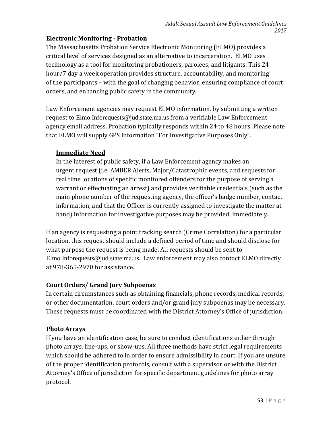### **Electronic Monitoring - Probation**

The Massachusetts Probation Service Electronic Monitoring (ELMO) provides a critical level of services designed as an alternative to incarceration. ELMO uses technology as a tool for monitoring probationers, parolees, and litigants. This 24 hour/7 day a week operation provides structure, accountability, and monitoring of the participants – with the goal of changing behavior, ensuring compliance of court orders, and enhancing public safety in the community.

Law Enforcement agencies may request ELMO information, by submitting a written request to [Elmo.Inforequests@jud.state.ma.us](mailto:Elmo.Inforequests@jud.state.ma.us) from a verifiable Law Enforcement agency email address. Probation typically responds within 24 to 48 hours. Please note that ELMO will supply GPS information "For Investigative Purposes Only".

### **Immediate Need**

In the interest of public safety, if a Law Enforcement agency makes an urgent request (i.e. AMBER Alerts, Major/Catastrophic events, and requests for real time locations of specific monitored offenders for the purpose of serving a warrant or effectuating an arrest) and provides verifiable credentials (such as the main phone number of the requesting agency, the officer's badge number, contact information, and that the Officer is currently assigned to investigate the matter at hand) information for investigative purposes may be provided immediately.

If an agency is requesting a point tracking search (Crime Correlation) for a particular location, this request should include a defined period of time and should disclose for what purpose the request is being made. All requests should be sent to [Elmo.Inforequests@jud.state.ma.us](mailto:Elmo.Inforequests@jud.state.ma.us). Law enforcement may also contact ELMO directly at 978-365-2970 for assistance.

## **Court Orders/ Grand Jury Subpoenas**

In certain circumstances such as obtaining financials, phone records, medical records, or other documentation, court orders and/or grand jury subpoenas may be necessary. These requests must be coordinated with the District Attorney's Office of jurisdiction.

## **Photo Arrays**

If you have an identification case, be sure to conduct identifications either through photo arrays, line-ups, or show-ups. All three methods have strict legal requirements which should be adhered to in order to ensure admissibility in court. If you are unsure of the proper identification protocols, consult with a supervisor or with the District Attorney's Office of jurisdiction for specific department guidelines for photo array protocol.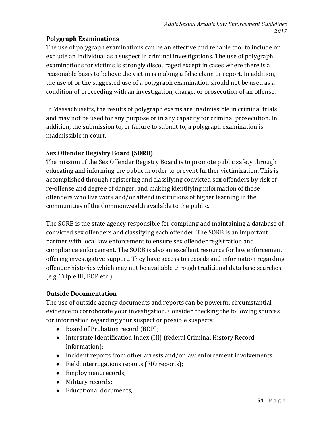### **Polygraph Examinations**

The use of polygraph examinations can be an effective and reliable tool to include or exclude an individual as a suspect in criminal investigations. The use of polygraph examinations for victims is strongly discouraged except in cases where there is a reasonable basis to believe the victim is making a false claim or report. In addition, the use of or the suggested use of a polygraph examination should not be used as a condition of proceeding with an investigation, charge, or prosecution of an offense.

In Massachusetts, the results of polygraph exams are inadmissible in criminal trials and may not be used for any purpose or in any capacity for criminal prosecution. In addition, the submission to, or failure to submit to, a polygraph examination is inadmissible in court.

### **Sex Offender Registry Board (SORB)**

The mission of the Sex Offender Registry Board is to promote public safety through educating and informing the public in order to prevent further victimization. This is accomplished through registering and classifying convicted sex offenders by risk of re-offense and degree of danger, and making identifying information of those offenders who live work and/or attend institutions of higher learning in the communities of the Commonwealth available to the public.

The SORB is the state agency responsible for compiling and maintaining a database of convicted sex offenders and classifying each offender. The SORB is an important partner with local law enforcement to ensure sex offender registration and compliance enforcement. The SORB is also an excellent resource for law enforcement offering investigative support. They have access to records and information regarding offender histories which may not be available through traditional data base searches (e.g. Triple III, BOP etc.).

### **Outside Documentation**

The use of outside agency documents and reports can be powerful circumstantial evidence to corroborate your investigation. Consider checking the following sources for information regarding your suspect or possible suspects:

- Board of Probation record (BOP);
- Interstate Identification Index (III) (federal Criminal History Record Information);
- Incident reports from other arrests and/or law enforcement involvements;
- Field interrogations reports (FIO reports);
- Employment records;
- Military records;
- Educational documents;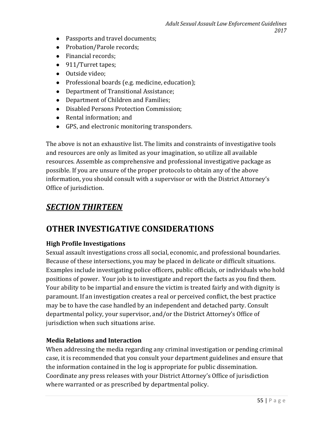- Passports and travel documents;
- Probation/Parole records;
- Financial records;
- 911/Turret tapes;
- Outside video;
- Professional boards (e.g. medicine, education);
- Department of Transitional Assistance;
- Department of Children and Families;
- Disabled Persons Protection Commission;
- Rental information; and
- GPS, and electronic monitoring transponders.

The above is not an exhaustive list. The limits and constraints of investigative tools and resources are only as limited as your imagination, so utilize all available resources. Assemble as comprehensive and professional investigative package as possible. If you are unsure of the proper protocols to obtain any of the above information, you should consult with a supervisor or with the District Attorney's Office of jurisdiction.

## *SECTION THIRTEEN*

## **OTHER INVESTIGATIVE CONSIDERATIONS**

### **High Profile Investigations**

Sexual assault investigations cross all social, economic, and professional boundaries. Because of these intersections, you may be placed in delicate or difficult situations. Examples include investigating police officers, public officials, or individuals who hold positions of power. Your job is to investigate and report the facts as you find them. Your ability to be impartial and ensure the victim is treated fairly and with dignity is paramount. If an investigation creates a real or perceived conflict, the best practice may be to have the case handled by an independent and detached party. Consult departmental policy, your supervisor, and/or the District Attorney's Office of jurisdiction when such situations arise.

### **Media Relations and Interaction**

When addressing the media regarding any criminal investigation or pending criminal case, it is recommended that you consult your department guidelines and ensure that the information contained in the log is appropriate for public dissemination. Coordinate any press releases with your District Attorney's Office of jurisdiction where warranted or as prescribed by departmental policy.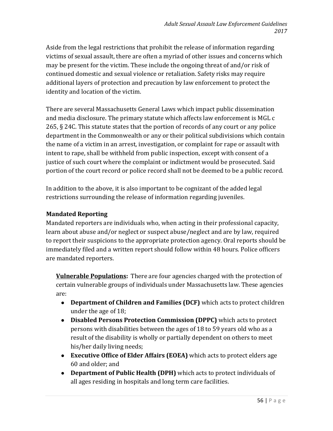Aside from the legal restrictions that prohibit the release of information regarding victims of sexual assault, there are often a myriad of other issues and concerns which may be present for the victim. These include the ongoing threat of and/or risk of continued domestic and sexual violence or retaliation. Safety risks may require additional layers of protection and precaution by law enforcement to protect the identity and location of the victim.

There are several Massachusetts General Laws which impact public dissemination and media disclosure. The primary statute which affects law enforcement is MGL c 265, § 24C. This statute states that the portion of records of any court or any police department in the Commonwealth or any or their political subdivisions which contain the name of a victim in an arrest, investigation, or complaint for rape or assault with intent to rape, shall be withheld from public inspection, except with consent of a justice of such court where the complaint or indictment would be prosecuted. Said portion of the court record or police record shall not be deemed to be a public record.

In addition to the above, it is also important to be cognizant of the added legal restrictions surrounding the release of information regarding juveniles.

#### **Mandated Reporting**

Mandated reporters are individuals who, when acting in their professional capacity, learn about abuse and/or neglect or suspect abuse/neglect and are by law, required to report their suspicions to the appropriate protection agency. Oral reports should be immediately filed and a written report should follow within 48 hours. Police officers are mandated reporters.

**Vulnerable Populations:** There are four agencies charged with the protection of certain vulnerable groups of individuals under Massachusetts law. These agencies are:

- **Department of Children and Families (DCF)** which acts to protect children under the age of 18;
- **Disabled Persons Protection Commission (DPPC)** which acts to protect persons with disabilities between the ages of 18 to 59 years old who as a result of the disability is wholly or partially dependent on others to meet his/her daily living needs;
- **Executive Office of Elder Affairs (EOEA)** which acts to protect elders age 60 and older; and
- **Department of Public Health (DPH)** which acts to protect individuals of all ages residing in hospitals and long term care facilities.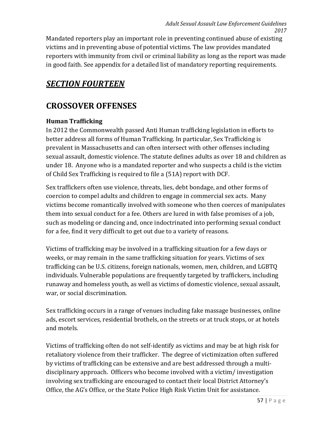Mandated reporters play an important role in preventing continued abuse of existing victims and in preventing abuse of potential victims. The law provides mandated reporters with immunity from civil or criminal liability as long as the report was made in good faith. See appendix for a detailed list of mandatory reporting requirements.

## *SECTION FOURTEEN*

## **CROSSOVER OFFENSES**

### **Human Trafficking**

In 2012 the Commonwealth passed Anti Human trafficking legislation in efforts to better address all forms of Human Trafficking. In particular, Sex Trafficking is prevalent in Massachusetts and can often intersect with other offenses including sexual assault, domestic violence. The statute defines adults as over 18 and children as under 18. Anyone who is a mandated reporter and who suspects a child is the victim of Child Sex Trafficking is required to file a (51A) report with DCF.

Sex traffickers often use violence, threats, lies, debt bondage, and other forms of coercion to compel adults and children to engage in commercial sex acts. Many victims become romantically involved with someone who then coerces of manipulates them into sexual conduct for a fee. Others are lured in with false promises of a job, such as modeling or dancing and, once indoctrinated into performing sexual conduct for a fee, find it very difficult to get out due to a variety of reasons.

Victims of trafficking may be involved in a trafficking situation for a few days or weeks, or may remain in the same trafficking situation for years. Victims of sex trafficking can be U.S. citizens, foreign nationals, women, men, children, and LGBTQ individuals. Vulnerable populations are frequently targeted by traffickers, including runaway and homeless youth, as well as victims of domestic violence, sexual assault, war, or social discrimination.

Sex trafficking occurs in a range of venues including fake massage businesses, online ads, escort services, residential brothels, on the streets or at truck stops, or at hotels and motels.

Victims of trafficking often do not self-identify as victims and may be at high risk for retaliatory violence from their trafficker. The degree of victimization often suffered by victims of trafficking can be extensive and are best addressed through a multidisciplinary approach. Officers who become involved with a victim/ investigation involving sex trafficking are encouraged to contact their local District Attorney's Office, the AG's Office, or the State Police High Risk Victim Unit for assistance.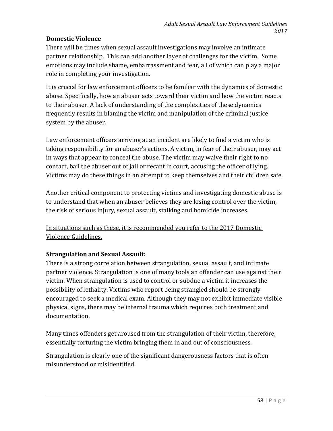### **Domestic Violence**

There will be times when sexual assault investigations may involve an intimate partner relationship. This can add another layer of challenges for the victim. Some emotions may include shame, embarrassment and fear, all of which can play a major role in completing your investigation.

It is crucial for law enforcement officers to be familiar with the dynamics of domestic abuse. Specifically, how an abuser acts toward their victim and how the victim reacts to their abuser. A lack of understanding of the complexities of these dynamics frequently results in blaming the victim and manipulation of the criminal justice system by the abuser.

Law enforcement officers arriving at an incident are likely to find a victim who is taking responsibility for an abuser's actions. A victim, in fear of their abuser, may act in ways that appear to conceal the abuse. The victim may waive their right to no contact, bail the abuser out of jail or recant in court, accusing the officer of lying. Victims may do these things in an attempt to keep themselves and their children safe.

Another critical component to protecting victims and investigating domestic abuse is to understand that when an abuser believes they are losing control over the victim, the risk of serious injury, sexual assault, stalking and homicide increases.

In situations such as these, it is recommended you refer to the 2017 Domestic Violence Guidelines.

## **Strangulation and Sexual Assault:**

There is a strong correlation between strangulation, sexual assault, and intimate partner violence. Strangulation is one of many tools an offender can use against their victim. When strangulation is used to control or subdue a victim it increases the possibility of lethality. Victims who report being strangled should be strongly encouraged to seek a medical exam. Although they may not exhibit immediate visible physical signs, there may be internal trauma which requires both treatment and documentation.

Many times offenders get aroused from the strangulation of their victim, therefore, essentially torturing the victim bringing them in and out of consciousness.

Strangulation is clearly one of the significant dangerousness factors that is often misunderstood or misidentified.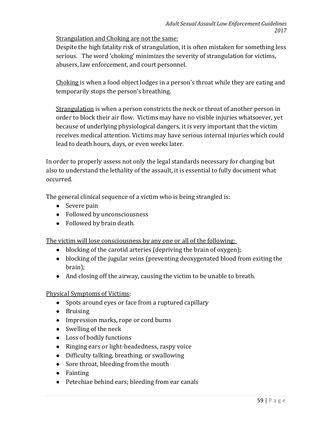Strangulation and Choking are not the same:

Despite the high fatality risk of strangulation, it is often mistaken for something less serious. The word 'choking' minimizes the severity of strangulation for victims, abusers, law enforcement, and court personnel.

Choking is when a food object lodges in a person's throat while they are eating and temporarily stops the person's breathing.

Strangulation is when a person constricts the neck or throat of another person in order to block their air flow. Victims may have no visible injuries whatsoever, yet because of underlying physiological dangers, it is very important that the victim receives medical attention. Victims may have serious internal injuries which could lead to death hours, days, or even weeks later.

In order to properly assess not only the legal standards necessary for charging but also to understand the lethality of the assault, it is essential to fully document what occurred.

The general clinical sequence of a victim who is being strangled is:

- Severe pain
- Followed by unconsciousness
- Followed by brain death.

The victim will lose consciousness by any one or all of the following:

- blocking of the carotid arteries (depriving the brain of oxygen);
- blocking of the jugular veins (preventing deoxygenated blood from exiting the brain);
- And closing off the airway, causing the victim to be unable to breath.

### Physical Symptoms of Victims:

- Spots around eyes or face from a ruptured capillary
- Bruising
- Impression marks, rope or cord burns
- Swelling of the neck
- Loss of bodily functions
- Ringing ears or light-headedness, raspy voice
- Difficulty talking, breathing, or swallowing
- Sore throat, bleeding from the mouth
- Fainting
- Petechiae behind ears; bleeding from ear canals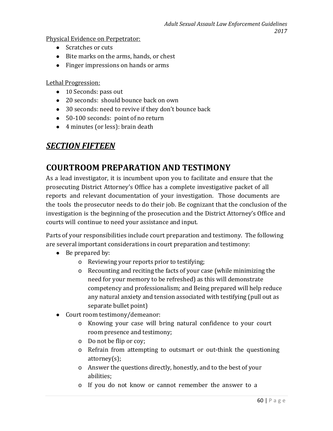Physical Evidence on Perpetrator:

- Scratches or cuts
- Bite marks on the arms, hands, or chest
- Finger impressions on hands or arms

Lethal Progression:

- 10 Seconds: pass out
- 20 seconds: should bounce back on own
- 30 seconds: need to revive if they don't bounce back
- 50-100 seconds: point of no return
- 4 minutes (or less): brain death

## *SECTION FIFTEEN*

## **COURTROOM PREPARATION AND TESTIMONY**

As a lead investigator, it is incumbent upon you to facilitate and ensure that the prosecuting District Attorney's Office has a complete investigative packet of all reports and relevant documentation of your investigation. Those documents are the tools the prosecutor needs to do their job. Be cognizant that the conclusion of the investigation is the beginning of the prosecution and the District Attorney's Office and courts will continue to need your assistance and input.

Parts of your responsibilities include court preparation and testimony. The following are several important considerations in court preparation and testimony:

- Be prepared by:
	- o Reviewing your reports prior to testifying;
	- o Recounting and reciting the facts of your case (while minimizing the need for your memory to be refreshed) as this will demonstrate competency and professionalism; and Being prepared will help reduce any natural anxiety and tension associated with testifying (pull out as separate bullet point)
- Court room testimony/demeanor:
	- o Knowing your case will bring natural confidence to your court room presence and testimony;
	- o Do not be flip or coy;
	- o Refrain from attempting to outsmart or out-think the questioning attorney(s);
	- o Answer the questions directly, honestly, and to the best of your abilities;
	- o If you do not know or cannot remember the answer to a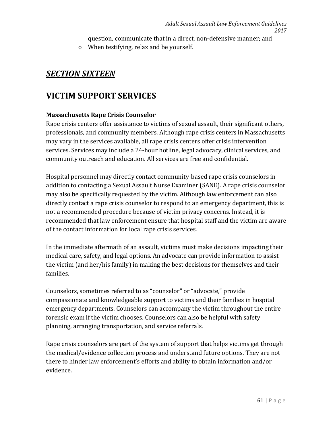question, communicate that in a direct, non-defensive manner; and

o When testifying, relax and be yourself.

## *SECTION SIXTEEN*

## **VICTIM SUPPORT SERVICES**

### **Massachusetts Rape Crisis Counselor**

Rape crisis centers offer assistance to victims of sexual assault, their significant others, professionals, and community members. Although rape crisis centers in Massachusetts may vary in the services available, all rape crisis centers offer crisis intervention services. Services may include a 24-hour hotline, legal advocacy, clinical services, and community outreach and education. All services are free and confidential.

Hospital personnel may directly contact community-based rape crisis counselors in addition to contacting a Sexual Assault Nurse Examiner (SANE). A rape crisis counselor may also be specifically requested by the victim. Although law enforcement can also directly contact a rape crisis counselor to respond to an emergency department, this is not a recommended procedure because of victim privacy concerns. Instead, it is recommended that law enforcement ensure that hospital staff and the victim are aware of the contact information for local rape crisis services.

In the immediate aftermath of an assault, victims must make decisions impacting their medical care, safety, and legal options. An advocate can provide information to assist the victim (and her/his family) in making the best decisions for themselves and their families.

Counselors, sometimes referred to as "counselor" or "advocate," provide compassionate and knowledgeable support to victims and their families in hospital emergency departments. Counselors can accompany the victim throughout the entire forensic exam if the victim chooses. Counselors can also be helpful with safety planning, arranging transportation, and service referrals.

Rape crisis counselors are part of the system of support that helps victims get through the medical/evidence collection process and understand future options. They are not there to hinder law enforcement's efforts and ability to obtain information and/or evidence.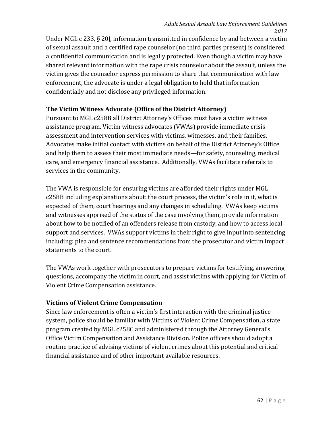Under MGL c 233, § 20J, information transmitted in confidence by and between a victim of sexual assault and a certified rape counselor (no third parties present) is considered a confidential communication and is legally protected. Even though a victim may have shared relevant information with the rape crisis counselor about the assault, unless the victim gives the counselor express permission to share that communication with law enforcement, the advocate is under a legal obligation to hold that information confidentially and not disclose any privileged information.

#### **The Victim Witness Advocate (Office of the District Attorney)**

Pursuant to MGL c258B all District Attorney's Offices must have a victim witness assistance program. Victim witness advocates (VWAs) provide immediate crisis assessment and intervention services with victims, witnesses, and their families. Advocates make initial contact with victims on behalf of the District Attorney's Office and help them to assess their most immediate needs—for safety, counseling, medical care, and emergency financial assistance. Additionally, VWAs facilitate referrals to services in the community.

The VWA is responsible for ensuring victims are afforded their rights under MGL c258B including explanations about: the court process, the victim's role in it, what is expected of them, court hearings and any changes in scheduling. VWAs keep victims and witnesses apprised of the status of the case involving them, provide information about how to be notified of an offenders release from custody, and how to access local support and services. VWAs support victims in their right to give input into sentencing including: plea and sentence recommendations from the prosecutor and victim impact statements to the court.

The VWAs work together with prosecutors to prepare victims for testifying, answering questions, accompany the victim in court, and assist victims with applying for Victim of Violent Crime Compensation assistance.

#### **Victims of Violent Crime Compensation**

Since law enforcement is often a victim's first interaction with the criminal justice system, police should be familiar with Victims of Violent Crime Compensation, a state program created by MGL c258C and administered through the Attorney General's Office Victim Compensation and Assistance Division. Police officers should adopt a routine practice of advising victims of violent crimes about this potential and critical financial assistance and of other important available resources.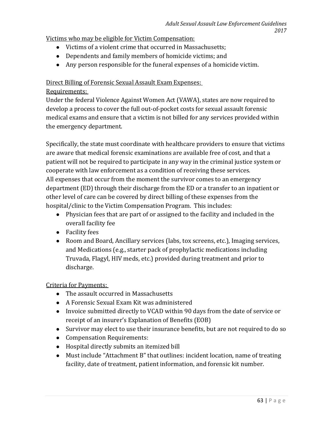### Victims who may be eligible for Victim Compensation:

- Victims of a violent crime that occurred in Massachusetts;
- Dependents and family members of homicide victims; and
- Any person responsible for the funeral expenses of a homicide victim.

### Direct Billing of Forensic Sexual Assault Exam Expenses:

### Requirements:

Under the federal Violence Against Women Act (VAWA), states are now required to develop a process to cover the full out-of-pocket costs for sexual assault forensic medical exams and ensure that a victim is not billed for any services provided within the emergency department.

Specifically, the state must coordinate with healthcare providers to ensure that victims are aware that medical forensic examinations are available free of cost, and that a patient will not be required to participate in any way in the criminal justice system or cooperate with law enforcement as a condition of receiving these services. All expenses that occur from the moment the survivor comes to an emergency department (ED) through their discharge from the ED or a transfer to an inpatient or other level of care can be covered by direct billing of these expenses from the hospital/clinic to the Victim Compensation Program. This includes:

- Physician fees that are part of or assigned to the facility and included in the overall facility fee
- Facility fees
- Room and Board, Ancillary services (labs, tox screens, etc.), Imaging services, and Medications (e.g., starter pack of prophylactic medications including Truvada, Flagyl, HIV meds, etc.) provided during treatment and prior to discharge.

## Criteria for Payments:

- The assault occurred in Massachusetts
- A Forensic Sexual Exam Kit was administered
- Invoice submitted directly to VCAD within 90 days from the date of service or receipt of an insurer's Explanation of Benefits (EOB)
- Survivor may elect to use their insurance benefits, but are not required to do so
- Compensation Requirements:
- Hospital directly submits an itemized bill
- Must include "Attachment B" that outlines: incident location, name of treating facility, date of treatment, patient information, and forensic kit number.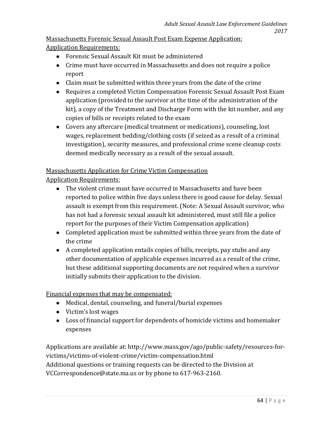Massachusetts Forensic Sexual Assault Post Exam Expense Application: Application Requirements:

- Forensic Sexual Assault Kit must be administered
- Crime must have occurred in Massachusetts and does not require a police report
- Claim must be submitted within three years from the date of the crime
- Requires a completed Victim Compensation Forensic Sexual Assault Post Exam application (provided to the survivor at the time of the administration of the kit), a copy of the Treatment and Discharge Form with the kit number, and any copies of bills or receipts related to the exam
- Covers any aftercare (medical treatment or medications), counseling, lost wages, replacement bedding/clothing costs (if seized as a result of a criminal investigation), security measures, and professional crime scene cleanup costs deemed medically necessary as a result of the sexual assault.

#### Massachusetts Application for Crime Victim Compensation

Application Requirements:

- The violent crime must have occurred in Massachusetts and have been reported to police within five days unless there is good cause for delay. Sexual assault is exempt from this requirement. (Note: A Sexual Assault survivor, who has not had a forensic sexual assault kit administered, must still file a police report for the purposes of their Victim Compensation application)
- Completed application must be submitted within three years from the date of the crime
- A completed application entails copies of bills, receipts, pay stubs and any other documentation of applicable expenses incurred as a result of the crime, but these additional supporting documents are not required when a survivor initially submits their application to the division.

Financial expenses that may be compensated:

- Medical, dental, counseling, and funeral/burial expenses
- Victim's lost wages
- Loss of financial support for dependents of homicide victims and homemaker expenses

Applications are available at: [http://www.mass.gov/ago/public-safety/resources-for](http://www.mass.gov/ago/public-safety/resources-for-victims/victims-of-violent-crime/victim-compensation.html)[victims/victims-of-violent-crime/victim-compensation.html](http://www.mass.gov/ago/public-safety/resources-for-victims/victims-of-violent-crime/victim-compensation.html) Additional questions or training requests can be directed to the Division at [VCCorrespondence@state.ma.us](mailto:VCCorrespondence@state.ma.us) or by phone to 617-963-2160.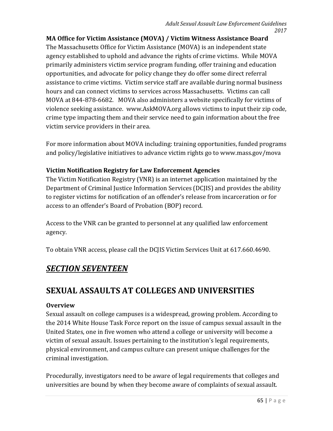**MA Office for Victim Assistance (MOVA) / Victim Witness Assistance Board** The Massachusetts Office for Victim Assistance (MOVA) is an independent state agency established to uphold and advance the rights of crime victims. While MOVA primarily administers victim service program funding, offer training and education opportunities, and advocate for policy change they do offer some direct referral assistance to crime victims. Victim service staff are available during normal business hours and can connect victims to services across Massachusetts. Victims can call MOVA at 844-878-6682. MOVA also administers a website specifically for victims of violence seeking assistance. [www.AskMOVA.org](http://www.askmova.org/) allows victims to input their zip code, crime type impacting them and their service need to gain information about the free victim service providers in their area.

For more information about MOVA including: training opportunities, funded programs and policy/legislative initiatives to advance victim rights go to [www.mass.gov/mova](http://www.mass.gov/mova)

### **Victim Notification Registry for Law Enforcement Agencies**

The Victim Notification Registry (VNR) is an internet application maintained by the Department of Criminal Justice Information Services (DCJIS) and provides the ability to register victims for notification of an offender's release from incarceration or for access to an offender's Board of Probation (BOP) record.

Access to the VNR can be granted to personnel at any qualified law enforcement agency.

To obtain VNR access, please call the DCJIS Victim Services Unit at 617.660.4690.

## *SECTION SEVENTEEN*

# **SEXUAL ASSAULTS AT COLLEGES AND UNIVERSITIES**

### **Overview**

Sexual assault on college campuses is a widespread, growing problem. According to the 2014 White House Task Force report on the issue of campus sexual assault in the United States, one in five women who attend a college or university will become a victim of sexual assault. Issues pertaining to the institution's legal requirements, physical environment, and campus culture can present unique challenges for the criminal investigation.

Procedurally, investigators need to be aware of legal requirements that colleges and universities are bound by when they become aware of complaints of sexual assault.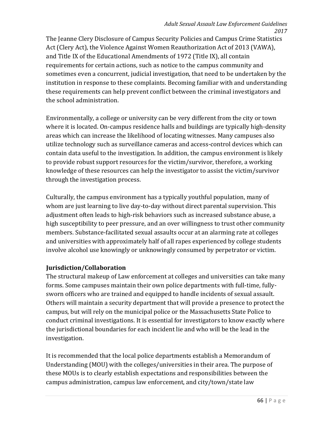The Jeanne Clery Disclosure of Campus Security Policies and Campus Crime Statistics Act (Clery Act), the Violence Against Women Reauthorization Act of 2013 (VAWA), and Title IX of the Educational Amendments of 1972 (Title IX), all contain requirements for certain actions, such as notice to the campus community and sometimes even a concurrent, judicial investigation, that need to be undertaken by the institution in response to these complaints. Becoming familiar with and understanding these requirements can help prevent conflict between the criminal investigators and the school administration.

Environmentally, a college or university can be very different from the city or town where it is located. On-campus residence halls and buildings are typically high-density areas which can increase the likelihood of locating witnesses. Many campuses also utilize technology such as surveillance cameras and access-control devices which can contain data useful to the investigation. In addition, the campus environment is likely to provide robust support resources for the victim/survivor, therefore, a working knowledge of these resources can help the investigator to assist the victim/survivor through the investigation process.

Culturally, the campus environment has a typically youthful population, many of whom are just learning to live day-to-day without direct parental supervision. This adjustment often leads to high-risk behaviors such as increased substance abuse, a high susceptibility to peer pressure, and an over willingness to trust other community members. Substance-facilitated sexual assaults occur at an alarming rate at colleges and universities with approximately half of all rapes experienced by college students involve alcohol use knowingly or unknowingly consumed by perpetrator or victim.

#### **Jurisdiction/Collaboration**

The structural makeup of Law enforcement at colleges and universities can take many forms. Some campuses maintain their own police departments with full-time, fullysworn officers who are trained and equipped to handle incidents of sexual assault. Others will maintain a security department that will provide a presence to protect the campus, but will rely on the municipal police or the Massachusetts State Police to conduct criminal investigations. It is essential for investigators to know exactly where the jurisdictional boundaries for each incident lie and who will be the lead in the investigation.

It is recommended that the local police departments establish a Memorandum of Understanding (MOU) with the colleges/universities in their area. The purpose of these MOUs is to clearly establish expectations and responsibilities between the campus administration, campus law enforcement, and city/town/state law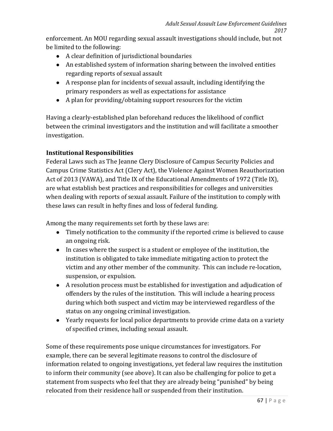enforcement. An MOU regarding sexual assault investigations should include, but not be limited to the following:

- A clear definition of jurisdictional boundaries
- An established system of information sharing between the involved entities regarding reports of sexual assault
- A response plan for incidents of sexual assault, including identifying the primary responders as well as expectations for assistance
- A plan for providing/obtaining support resources for the victim

Having a clearly-established plan beforehand reduces the likelihood of conflict between the criminal investigators and the institution and will facilitate a smoother investigation.

## **Institutional Responsibilities**

Federal Laws such as The Jeanne Clery Disclosure of Campus Security Policies and Campus Crime Statistics Act (Clery Act), the Violence Against Women Reauthorization Act of 2013 (VAWA), and Title IX of the Educational Amendments of 1972 (Title IX), are what establish best practices and responsibilities for colleges and universities when dealing with reports of sexual assault. Failure of the institution to comply with these laws can result in hefty fines and loss of federal funding.

Among the many requirements set forth by these laws are:

- Timely notification to the community if the reported crime is believed to cause an ongoing risk.
- In cases where the suspect is a student or employee of the institution, the institution is obligated to take immediate mitigating action to protect the victim and any other member of the community. This can include re-location, suspension, or expulsion.
- A resolution process must be established for investigation and adjudication of offenders by the rules of the institution. This will include a hearing process during which both suspect and victim may be interviewed regardless of the status on any ongoing criminal investigation.
- Yearly requests for local police departments to provide crime data on a variety of specified crimes, including sexual assault.

Some of these requirements pose unique circumstances for investigators. For example, there can be several legitimate reasons to control the disclosure of information related to ongoing investigations, yet federal law requires the institution to inform their community (see above). It can also be challenging for police to get a statement from suspects who feel that they are already being "punished" by being relocated from their residence hall or suspended from their institution.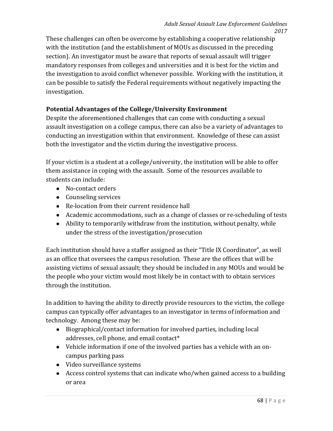These challenges can often be overcome by establishing a cooperative relationship with the institution (and the establishment of MOUs as discussed in the preceding section). An investigator must be aware that reports of sexual assault will trigger mandatory responses from colleges and universities and it is best for the victim and the investigation to avoid conflict whenever possible. Working with the institution, it can be possible to satisfy the Federal requirements without negatively impacting the investigation.

#### **Potential Advantages of the College/University Environment**

Despite the aforementioned challenges that can come with conducting a sexual assault investigation on a college campus, there can also be a variety of advantages to conducting an investigation within that environment. Knowledge of these can assist both the investigator and the victim during the investigative process.

If your victim is a student at a college/university, the institution will be able to offer them assistance in coping with the assault. Some of the resources available to students can include:

- No-contact orders
- Counseling services
- Re-location from their current residence hall
- Academic accommodations, such as a change of classes or re-scheduling of tests
- Ability to temporarily withdraw from the institution, without penalty, while under the stress of the investigation/prosecution

Each institution should have a staffer assigned as their "Title IX Coordinator", as well as an office that oversees the campus resolution. These are the offices that will be assisting victims of sexual assault; they should be included in any MOUs and would be the people who your victim would most likely be in contact with to obtain services through the institution.

In addition to having the ability to directly provide resources to the victim, the college campus can typically offer advantages to an investigator in terms of information and technology. Among these may be:

- Biographical/contact information for involved parties, including local addresses, cell phone, and email contact\*
- Vehicle information if one of the involved parties has a vehicle with an oncampus parking pass
- Video surveillance systems
- Access control systems that can indicate who/when gained access to a building or area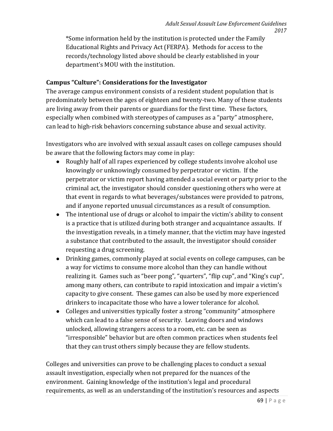\*Some information held by the institution is protected under the Family Educational Rights and Privacy Act (FERPA). Methods for access to the records/technology listed above should be clearly established in your department's MOU with the institution.

#### **Campus "Culture": Considerations for the Investigator**

The average campus environment consists of a resident student population that is predominately between the ages of eighteen and twenty-two. Many of these students are living away from their parents or guardians for the first time. These factors, especially when combined with stereotypes of campuses as a "party" atmosphere, can lead to high-risk behaviors concerning substance abuse and sexual activity.

Investigators who are involved with sexual assault cases on college campuses should be aware that the following factors may come in play:

- Roughly half of all rapes experienced by college students involve alcohol use knowingly or unknowingly consumed by perpetrator or victim. If the perpetrator or victim report having attended a social event or party prior to the criminal act, the investigator should consider questioning others who were at that event in regards to what beverages/substances were provided to patrons, and if anyone reported unusual circumstances as a result of consumption.
- The intentional use of drugs or alcohol to impair the victim's ability to consent is a practice that is utilized during both stranger and acquaintance assaults. If the investigation reveals, in a timely manner, that the victim may have ingested a substance that contributed to the assault, the investigator should consider requesting a drug screening.
- Drinking games, commonly played at social events on college campuses, can be a way for victims to consume more alcohol than they can handle without realizing it. Games such as "beer pong", "quarters", "flip cup", and "King's cup", among many others, can contribute to rapid intoxication and impair a victim's capacity to give consent. These games can also be used by more experienced drinkers to incapacitate those who have a lower tolerance for alcohol.
- Colleges and universities typically foster a strong "community" atmosphere which can lead to a false sense of security. Leaving doors and windows unlocked, allowing strangers access to a room, etc. can be seen as "irresponsible" behavior but are often common practices when students feel that they can trust others simply because they are fellow students.

Colleges and universities can prove to be challenging places to conduct a sexual assault investigation, especially when not prepared for the nuances of the environment. Gaining knowledge of the institution's legal and procedural requirements, as well as an understanding of the institution's resources and aspects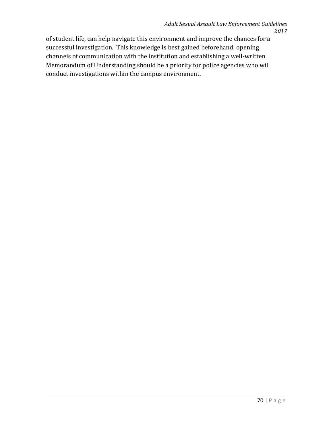of student life, can help navigate this environment and improve the chances for a successful investigation. This knowledge is best gained beforehand; opening channels of communication with the institution and establishing a well-written Memorandum of Understanding should be a priority for police agencies who will conduct investigations within the campus environment.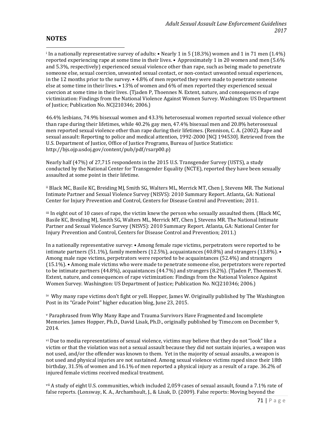#### **NOTES**

**.** 

<sup>i</sup> In a nationally representative survey of adults: • Nearly 1 in 5 (18.3%) women and 1 in 71 men (1.4%) reported experiencing rape at some time in their lives. • Approximately 1 in 20 women and men (5.6% and 5.3%, respectively) experienced sexual violence other than rape, such as being made to penetrate someone else, sexual coercion, unwanted sexual contact, or non-contact unwanted sexual experiences, in the 12 months prior to the survey. • 4.8% of men reported they were made to penetrate someone else at some time in their lives. • 13% of women and 6% of men reported they experienced sexual coercion at some time in their lives. (Tjaden P, Thoennes N. Extent, nature, and consequences of rape victimization: Findings from the National Violence Against Women Survey. Washington: US Department of Justice; Publication No. NCJ210346; 2006.)

46.4% lesbians, 74.9% bisexual women and 43.3% heterosexual women reported sexual violence other than rape during their lifetimes, while 40.2% gay men, 47.4% bisexual men and 20.8% heterosexual men reported sexual violence other than rape during their lifetimes. (Rennison, C. A. (2002). Rape and sexual assault: Reporting to police and medical attention, 1992-2000 [NCJ 194530]. Retrieved from the U.S. Department of Justice, Office of Justice Programs, Bureau of Justice Statistics: http://bjs.ojp.usdoj.gov/content/pub/pdf/rsarp00.p)

Nearly half (47%) of 27,715 respondents in the 2015 U.S. Transgender Survey (USTS), a study conducted by the National Center for Transgender Equality (NCTE), reported they have been sexually assaulted at some point in their lifetime.

ii Black MC, Basile KC, Breiding MJ, Smith SG, Walters ML, Merrick MT, Chen J, Stevens MR. The National Intimate Partner and Sexual Violence Survey (NISVS): 2010 Summary Report. Atlanta, GA: National Center for Injury Prevention and Control, Centers for Disease Control and Prevention; 2011.

iii In eight out of 10 cases of rape, the victim knew the person who sexually assaulted them. (Black MC, Basile KC, Breiding MJ, Smith SG, Walters ML, Merrick MT, Chen J, Stevens MR. The National Intimate Partner and Sexual Violence Survey (NISVS): 2010 Summary Report. Atlanta, GA: National Center for Injury Prevention and Control, Centers for Disease Control and Prevention; 2011.)

In a nationally representative survey: • Among female rape victims, perpetrators were reported to be intimate partners (51.1%), family members (12.5%), acquaintances (40.8%) and strangers (13.8%). Among male rape victims, perpetrators were reported to be acquaintances (52.4%) and strangers (15.1%). • Among male victims who were made to penetrate someone else, perpetrators were reported to be intimate partners (44.8%), acquaintances (44.7%) and strangers (8.2%). (Tjaden P, Thoennes N. Extent, nature, and consequences of rape victimization: Findings from the National Violence Against Women Survey. Washington: US Department of Justice; Publication No. NCJ210346; 2006.)

iv Why many rape victims don't fight or yell. Hopper, James W. Originally published by The Washington Post in its "Grade Point" higher education blog, June 23, 2015.

<sup>v</sup> Paraphrased from Why Many Rape and Trauma Survivors Have Fragmented and Incomplete Memories. James Hopper, Ph.D., David Lisak, Ph.D., originally published by Time.com on December 9, 2014.

vi Due to media representations of sexual violence, victims may believe that they do not "look" like a victim or that the violation was not a sexual assault because they did not sustain injuries, a weapon was not used, and/or the offender was known to them. Yet in the majority of sexual assaults, a weapon is not used and physical injuries are not sustained. Among sexual violence victims raped since their 18th birthday, 31.5% of women and 16.1% of men reported a physical injury as a result of a rape. 36.2% of injured female victims received medical treatment.

vii A study of eight U.S. communities, which included 2,059 cases of sexual assault, found a 7.1% rate of false reports. (Lonsway, K. A., Archambault, J., & Lisak, D. (2009). False reports: Moving beyond the